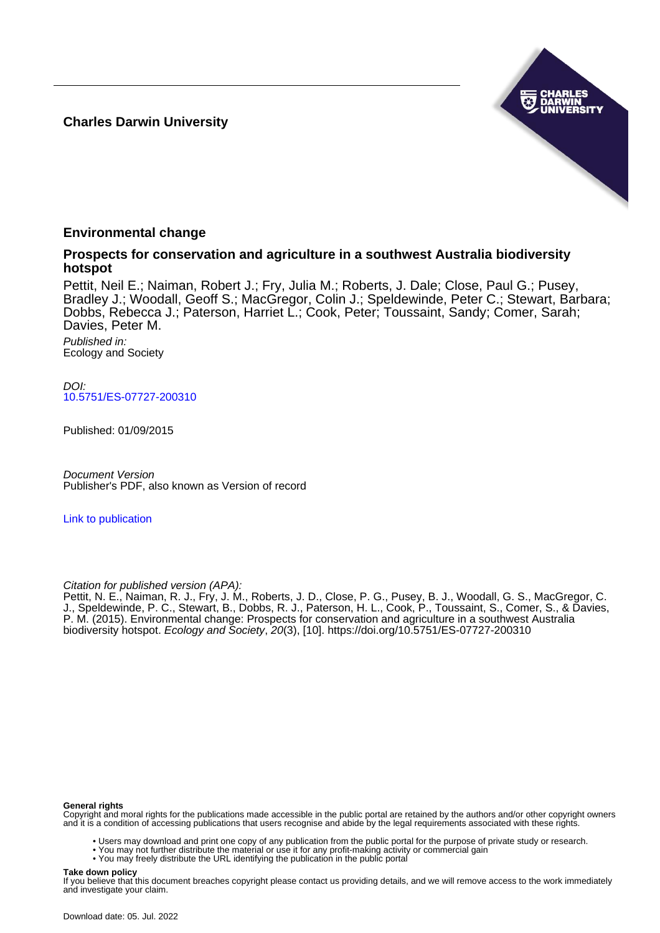**Charles Darwin University**



# **Environmental change**

# **Prospects for conservation and agriculture in a southwest Australia biodiversity hotspot**

Pettit, Neil E.; Naiman, Robert J.; Fry, Julia M.; Roberts, J. Dale; Close, Paul G.; Pusey, Bradley J.; Woodall, Geoff S.; MacGregor, Colin J.; Speldewinde, Peter C.; Stewart, Barbara; Dobbs, Rebecca J.; Paterson, Harriet L.; Cook, Peter; Toussaint, Sandy; Comer, Sarah; Davies, Peter M.

Published in: Ecology and Society

DOI: [10.5751/ES-07727-200310](https://doi.org/10.5751/ES-07727-200310)

Published: 01/09/2015

Document Version Publisher's PDF, also known as Version of record

[Link to publication](https://researchers.cdu.edu.au/en/publications/2518c980-c7dd-4cec-a08c-74c6746ad8a6)

Citation for published version (APA):

Pettit, N. E., Naiman, R. J., Fry, J. M., Roberts, J. D., Close, P. G., Pusey, B. J., Woodall, G. S., MacGregor, C. J., Speldewinde, P. C., Stewart, B., Dobbs, R. J., Paterson, H. L., Cook, P., Toussaint, S., Comer, S., & Davies, P. M. (2015). Environmental change: Prospects for conservation and agriculture in a southwest Australia biodiversity hotspot. Ecology and Society, 20(3), [10].<https://doi.org/10.5751/ES-07727-200310>

#### **General rights**

Copyright and moral rights for the publications made accessible in the public portal are retained by the authors and/or other copyright owners and it is a condition of accessing publications that users recognise and abide by the legal requirements associated with these rights.

• Users may download and print one copy of any publication from the public portal for the purpose of private study or research.

- You may not further distribute the material or use it for any profit-making activity or commercial gain
- You may freely distribute the URL identifying the publication in the public portal

#### **Take down policy**

If you believe that this document breaches copyright please contact us providing details, and we will remove access to the work immediately and investigate your claim.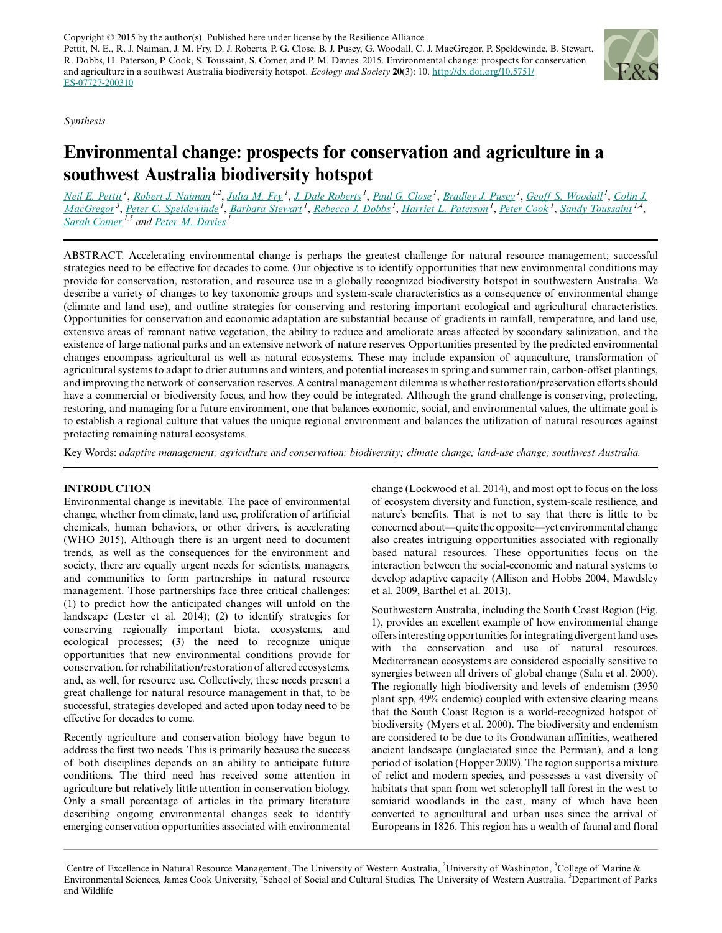Copyright  $\odot$  2015 by the author(s). Published here under license by the Resilience Alliance. Pettit, N. E., R. J. Naiman, J. M. Fry, D. J. Roberts, P. G. Close, B. J. Pusey, G. Woodall, C. J. MacGregor, P. Speldewinde, B. Stewart, R. Dobbs, H. Paterson, P. Cook, S. Toussaint, S. Comer, and P. M. Davies. 2015. Environmental change: prospects for conservation and agriculture in a southwest Australia biodiversity hotspot. *Ecology and Society* **20**(3): 10. [http://dx.doi.org/10.5751/](http://dx.doi.org/10.5751/ES-07727-200310) [ES-07727-200310](http://dx.doi.org/10.5751/ES-07727-200310)

*Synthesis*

# **Environmental change: prospects for conservation and agriculture in a southwest Australia biodiversity hotspot**

<u>[Neil E. Pettit](mailto:neil.pettit@uwa.edu.au)<sup>1</sup>, [Robert J. Naiman](mailto:naiman@uw.edu)<sup>1,2</sup>, [Julia M. Fry](mailto:juliawrightfry@gmail.com)<sup>1</sup>, [J. Dale Roberts](mailto:dale.roberts@uwa.edu.au)<sup>1</sup>, [Paul G. Close](mailto:paul.close@uwa.edu.au)<sup>1</sup>, [Bradley J. Pusey](mailto:bpusey@westnet.com.au)<sup>1</sup>, [Geoff S. Woodall](mailto:geoff.woodall@uwa.edu.au)<sup>1</sup>, [Colin J.](mailto:colin.macgregor@jcu.edu.au)</u> [MacGregor](mailto:colin.macgregor@jcu.edu.au)<sup>3</sup>, [Peter C. Speldewinde](mailto:peter.speldewinde@uwa.edu.au)<sup>1</sup>, [Barbara Stewart](mailto:barbara.cook@uwa.edu.au)<sup>1</sup>, [Rebecca J. Dobbs](mailto:rebecca.dobbs@uwa.edu.au)<sup>1</sup>, [Harriet L. Paterson](mailto:harriet.paterson@uwa.edu.au)<sup>1</sup>, [Peter Cook](mailto:peter.cook@uwa.edu.au)<sup>1</sup>, [Sandy Toussaint](mailto:sandy.toussaint@uwa.edu.au)<sup>1,4</sup>, *[Sarah Comer](mailto:Sarah.Comer@DPaW.wa.gov.au) 1,5 and [Peter M. Davies](mailto:peter.davies@uwa.edu.au)<sup>1</sup>*

ABSTRACT. Accelerating environmental change is perhaps the greatest challenge for natural resource management; successful strategies need to be effective for decades to come. Our objective is to identify opportunities that new environmental conditions may provide for conservation, restoration, and resource use in a globally recognized biodiversity hotspot in southwestern Australia. We describe a variety of changes to key taxonomic groups and system-scale characteristics as a consequence of environmental change (climate and land use), and outline strategies for conserving and restoring important ecological and agricultural characteristics. Opportunities for conservation and economic adaptation are substantial because of gradients in rainfall, temperature, and land use, extensive areas of remnant native vegetation, the ability to reduce and ameliorate areas affected by secondary salinization, and the existence of large national parks and an extensive network of nature reserves. Opportunities presented by the predicted environmental changes encompass agricultural as well as natural ecosystems. These may include expansion of aquaculture, transformation of agricultural systems to adapt to drier autumns and winters, and potential increases in spring and summer rain, carbon-offset plantings, and improving the network of conservation reserves. A central management dilemma is whether restoration/preservation efforts should have a commercial or biodiversity focus, and how they could be integrated. Although the grand challenge is conserving, protecting, restoring, and managing for a future environment, one that balances economic, social, and environmental values, the ultimate goal is to establish a regional culture that values the unique regional environment and balances the utilization of natural resources against protecting remaining natural ecosystems.

Key Words: *adaptive management; agriculture and conservation; biodiversity; climate change; land-use change; southwest Australia.*

# **INTRODUCTION**

Environmental change is inevitable. The pace of environmental change, whether from climate, land use, proliferation of artificial chemicals, human behaviors, or other drivers, is accelerating (WHO 2015). Although there is an urgent need to document trends, as well as the consequences for the environment and society, there are equally urgent needs for scientists, managers, and communities to form partnerships in natural resource management. Those partnerships face three critical challenges: (1) to predict how the anticipated changes will unfold on the landscape (Lester et al. 2014); (2) to identify strategies for conserving regionally important biota, ecosystems, and ecological processes; (3) the need to recognize unique opportunities that new environmental conditions provide for conservation, for rehabilitation/restoration of altered ecosystems, and, as well, for resource use. Collectively, these needs present a great challenge for natural resource management in that, to be successful, strategies developed and acted upon today need to be effective for decades to come.

Recently agriculture and conservation biology have begun to address the first two needs. This is primarily because the success of both disciplines depends on an ability to anticipate future conditions. The third need has received some attention in agriculture but relatively little attention in conservation biology. Only a small percentage of articles in the primary literature describing ongoing environmental changes seek to identify emerging conservation opportunities associated with environmental

change (Lockwood et al. 2014), and most opt to focus on the loss of ecosystem diversity and function, system-scale resilience, and nature's benefits. That is not to say that there is little to be concerned about—quite the opposite—yet environmental change also creates intriguing opportunities associated with regionally based natural resources. These opportunities focus on the interaction between the social-economic and natural systems to develop adaptive capacity (Allison and Hobbs 2004, Mawdsley et al. 2009, Barthel et al. 2013).

Southwestern Australia, including the South Coast Region (Fig. 1), provides an excellent example of how environmental change offers interesting opportunities for integrating divergent land uses with the conservation and use of natural resources. Mediterranean ecosystems are considered especially sensitive to synergies between all drivers of global change (Sala et al. 2000). The regionally high biodiversity and levels of endemism (3950 plant spp, 49% endemic) coupled with extensive clearing means that the South Coast Region is a world-recognized hotspot of biodiversity (Myers et al. 2000). The biodiversity and endemism are considered to be due to its Gondwanan affinities, weathered ancient landscape (unglaciated since the Permian), and a long period of isolation (Hopper 2009). The region supports a mixture of relict and modern species, and possesses a vast diversity of habitats that span from wet sclerophyll tall forest in the west to semiarid woodlands in the east, many of which have been converted to agricultural and urban uses since the arrival of Europeans in 1826. This region has a wealth of faunal and floral



<sup>&</sup>lt;sup>1</sup>Centre of Excellence in Natural Resource Management, The University of Western Australia,  ${}^{2}$ University of Washington,  ${}^{3}$ College of Marine & Environmental Sciences, James Cook University, <sup>4</sup>School of Social and Cultural Studies, The University of Western Australia, <sup>5</sup>Department of Parks and Wildlife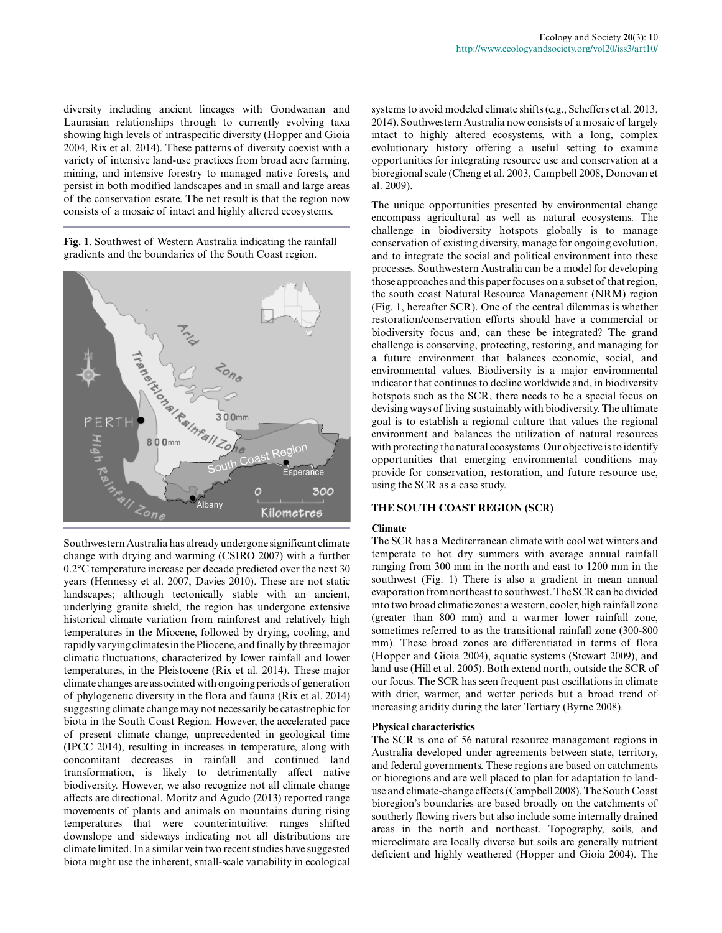diversity including ancient lineages with Gondwanan and Laurasian relationships through to currently evolving taxa showing high levels of intraspecific diversity (Hopper and Gioia 2004, Rix et al. 2014). These patterns of diversity coexist with a variety of intensive land-use practices from broad acre farming, mining, and intensive forestry to managed native forests, and persist in both modified landscapes and in small and large areas of the conservation estate. The net result is that the region now consists of a mosaic of intact and highly altered ecosystems.

**Fig. 1**. Southwest of Western Australia indicating the rainfall gradients and the boundaries of the South Coast region.



Southwestern Australia has already undergone significant climate change with drying and warming (CSIRO 2007) with a further 0.2°C temperature increase per decade predicted over the next 30 years (Hennessy et al. 2007, Davies 2010). These are not static landscapes; although tectonically stable with an ancient, underlying granite shield, the region has undergone extensive historical climate variation from rainforest and relatively high temperatures in the Miocene, followed by drying, cooling, and rapidly varying climates in the Pliocene, and finally by three major climatic fluctuations, characterized by lower rainfall and lower temperatures, in the Pleistocene (Rix et al. 2014). These major climate changes are associated with ongoing periods of generation of phylogenetic diversity in the flora and fauna (Rix et al. 2014) suggesting climate change may not necessarily be catastrophic for biota in the South Coast Region. However, the accelerated pace of present climate change, unprecedented in geological time (IPCC 2014), resulting in increases in temperature, along with concomitant decreases in rainfall and continued land transformation, is likely to detrimentally affect native biodiversity. However, we also recognize not all climate change affects are directional. Moritz and Agudo (2013) reported range movements of plants and animals on mountains during rising temperatures that were counterintuitive: ranges shifted downslope and sideways indicating not all distributions are climate limited. In a similar vein two recent studies have suggested biota might use the inherent, small-scale variability in ecological

systems to avoid modeled climate shifts (e.g., Scheffers et al. 2013, 2014). Southwestern Australia now consists of a mosaic of largely intact to highly altered ecosystems, with a long, complex evolutionary history offering a useful setting to examine opportunities for integrating resource use and conservation at a bioregional scale (Cheng et al. 2003, Campbell 2008, Donovan et al. 2009).

The unique opportunities presented by environmental change encompass agricultural as well as natural ecosystems. The challenge in biodiversity hotspots globally is to manage conservation of existing diversity, manage for ongoing evolution, and to integrate the social and political environment into these processes. Southwestern Australia can be a model for developing those approaches and this paper focuses on a subset of that region, the south coast Natural Resource Management (NRM) region (Fig. 1, hereafter SCR). One of the central dilemmas is whether restoration/conservation efforts should have a commercial or biodiversity focus and, can these be integrated? The grand challenge is conserving, protecting, restoring, and managing for a future environment that balances economic, social, and environmental values. Biodiversity is a major environmental indicator that continues to decline worldwide and, in biodiversity hotspots such as the SCR, there needs to be a special focus on devising ways of living sustainably with biodiversity. The ultimate goal is to establish a regional culture that values the regional environment and balances the utilization of natural resources with protecting the natural ecosystems. Our objective is to identify opportunities that emerging environmental conditions may provide for conservation, restoration, and future resource use, using the SCR as a case study.

### **THE SOUTH COAST REGION (SCR)**

#### **Climate**

The SCR has a Mediterranean climate with cool wet winters and temperate to hot dry summers with average annual rainfall ranging from 300 mm in the north and east to 1200 mm in the southwest (Fig. 1) There is also a gradient in mean annual evaporation from northeast to southwest. The SCR can be divided into two broad climatic zones: a western, cooler, high rainfall zone (greater than 800 mm) and a warmer lower rainfall zone, sometimes referred to as the transitional rainfall zone (300-800 mm). These broad zones are differentiated in terms of flora (Hopper and Gioia 2004), aquatic systems (Stewart 2009), and land use (Hill et al. 2005). Both extend north, outside the SCR of our focus. The SCR has seen frequent past oscillations in climate with drier, warmer, and wetter periods but a broad trend of increasing aridity during the later Tertiary (Byrne 2008).

#### **Physical characteristics**

The SCR is one of 56 natural resource management regions in Australia developed under agreements between state, territory, and federal governments. These regions are based on catchments or bioregions and are well placed to plan for adaptation to landuse and climate-change effects (Campbell 2008). The South Coast bioregion's boundaries are based broadly on the catchments of southerly flowing rivers but also include some internally drained areas in the north and northeast. Topography, soils, and microclimate are locally diverse but soils are generally nutrient deficient and highly weathered (Hopper and Gioia 2004). The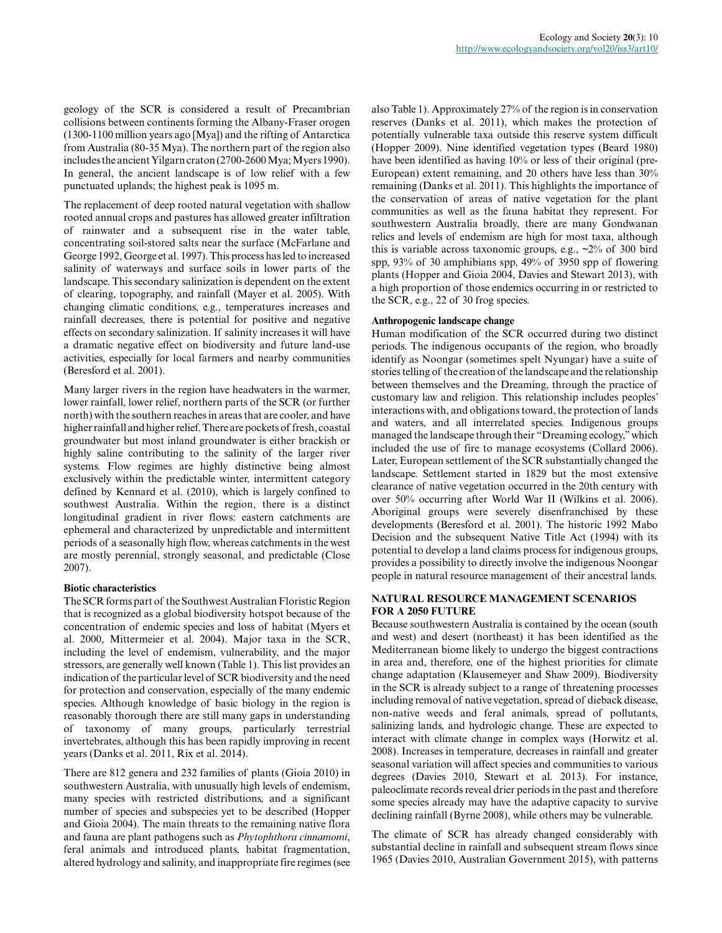geology of the SCR is considered a result of Precambrian collisions between continents forming the Albany-Fraser orogen (1300-1100 million years ago [Mya]) and the rifting of Antarctica from Australia (80-35 Mya). The northern part of the region also includes the ancient Yilgarn craton (2700-2600 Mya; Myers 1990). In general, the ancient landscape is of low relief with a few punctuated uplands; the highest peak is 1095 m.

The replacement of deep rooted natural vegetation with shallow rooted annual crops and pastures has allowed greater infiltration of rainwater and a subsequent rise in the water table, concentrating soil-stored salts near the surface (McFarlane and George 1992, George et al. 1997). This process has led to increased salinity of waterways and surface soils in lower parts of the landscape. This secondary salinization is dependent on the extent of clearing, topography, and rainfall (Mayer et al. 2005). With changing climatic conditions, e.g., temperatures increases and rainfall decreases, there is potential for positive and negative effects on secondary salinization. If salinity increases it will have a dramatic negative effect on biodiversity and future land-use activities, especially for local farmers and nearby communities (Beresford et al. 2001).

Many larger rivers in the region have headwaters in the warmer, lower rainfall, lower relief, northern parts of the SCR (or further north) with the southern reaches in areas that are cooler, and have higher rainfall and higher relief. There are pockets of fresh, coastal groundwater but most inland groundwater is either brackish or highly saline contributing to the salinity of the larger river systems. Flow regimes are highly distinctive being almost exclusively within the predictable winter, intermittent category defined by Kennard et al. (2010), which is largely confined to southwest Australia. Within the region, there is a distinct longitudinal gradient in river flows: eastern catchments are ephemeral and characterized by unpredictable and intermittent periods of a seasonally high flow, whereas catchments in the west are mostly perennial, strongly seasonal, and predictable (Close 2007).

#### **Biotic characteristics**

The SCR forms part of the Southwest Australian Floristic Region that is recognized as a global biodiversity hotspot because of the concentration of endemic species and loss of habitat (Myers et al. 2000, Mittermeier et al. 2004). Major taxa in the SCR, including the level of endemism, vulnerability, and the major stressors, are generally well known (Table 1). This list provides an indication of the particular level of SCR biodiversity and the need for protection and conservation, especially of the many endemic species. Although knowledge of basic biology in the region is reasonably thorough there are still many gaps in understanding of taxonomy of many groups, particularly terrestrial invertebrates, although this has been rapidly improving in recent years (Danks et al. 2011, Rix et al. 2014).

There are 812 genera and 232 families of plants (Gioia 2010) in southwestern Australia, with unusually high levels of endemism, many species with restricted distributions, and a significant number of species and subspecies yet to be described (Hopper and Gioia 2004). The main threats to the remaining native flora and fauna are plant pathogens such as *Phytophthora cinnamomi*, feral animals and introduced plants, habitat fragmentation, altered hydrology and salinity, and inappropriate fire regimes (see also Table 1). Approximately 27% of the region is in conservation reserves (Danks et al. 2011), which makes the protection of potentially vulnerable taxa outside this reserve system difficult (Hopper 2009). Nine identified vegetation types (Beard 1980) have been identified as having 10% or less of their original (pre-European) extent remaining, and 20 others have less than 30% remaining (Danks et al. 2011). This highlights the importance of the conservation of areas of native vegetation for the plant communities as well as the fauna habitat they represent. For southwestern Australia broadly, there are many Gondwanan relics and levels of endemism are high for most taxa, although this is variable across taxonomic groups, e.g., ~2% of 300 bird spp, 93% of 30 amphibians spp, 49% of 3950 spp of flowering plants (Hopper and Gioia 2004, Davies and Stewart 2013), with a high proportion of those endemics occurring in or restricted to the SCR, e.g., 22 of 30 frog species.

## **Anthropogenic landscape change**

Human modification of the SCR occurred during two distinct periods. The indigenous occupants of the region, who broadly identify as Noongar (sometimes spelt Nyungar) have a suite of stories telling of the creation of the landscape and the relationship between themselves and the Dreaming, through the practice of customary law and religion. This relationship includes peoples' interactions with, and obligations toward, the protection of lands and waters, and all interrelated species. Indigenous groups managed the landscape through their "Dreaming ecology," which included the use of fire to manage ecosystems (Collard 2006). Later, European settlement of the SCR substantially changed the landscape. Settlement started in 1829 but the most extensive clearance of native vegetation occurred in the 20th century with over 50% occurring after World War II (Wilkins et al. 2006). Aboriginal groups were severely disenfranchised by these developments (Beresford et al. 2001). The historic 1992 Mabo Decision and the subsequent Native Title Act (1994) with its potential to develop a land claims process for indigenous groups, provides a possibility to directly involve the indigenous Noongar people in natural resource management of their ancestral lands.

### **NATURAL RESOURCE MANAGEMENT SCENARIOS FOR A 2050 FUTURE**

Because southwestern Australia is contained by the ocean (south and west) and desert (northeast) it has been identified as the Mediterranean biome likely to undergo the biggest contractions in area and, therefore, one of the highest priorities for climate change adaptation (Klausemeyer and Shaw 2009). Biodiversity in the SCR is already subject to a range of threatening processes including removal of native vegetation, spread of dieback disease, non-native weeds and feral animals, spread of pollutants, salinizing lands, and hydrologic change. These are expected to interact with climate change in complex ways (Horwitz et al. 2008). Increases in temperature, decreases in rainfall and greater seasonal variation will affect species and communities to various degrees (Davies 2010, Stewart et al. 2013). For instance, paleoclimate records reveal drier periods in the past and therefore some species already may have the adaptive capacity to survive declining rainfall (Byrne 2008), while others may be vulnerable.

The climate of SCR has already changed considerably with substantial decline in rainfall and subsequent stream flows since 1965 (Davies 2010, Australian Government 2015), with patterns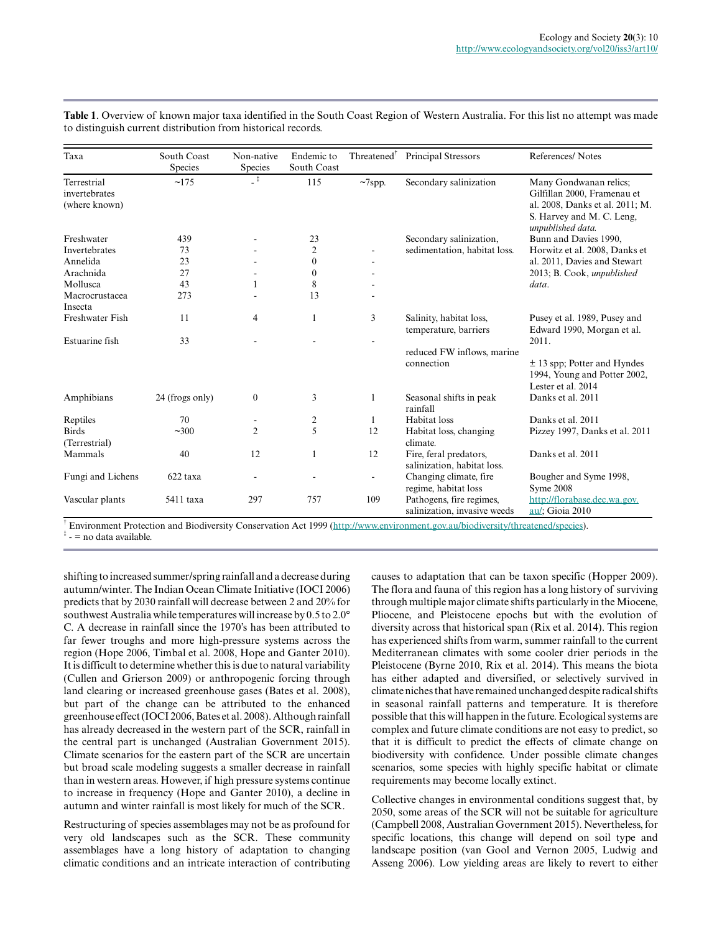| Taxa                                          | South Coast<br><b>Species</b> | Non-native<br><b>Species</b> | Endemic to<br>South Coast | Threatened <sup>†</sup>  | <b>Principal Stressors</b>                               | References/Notes                                                                                                                           |
|-----------------------------------------------|-------------------------------|------------------------------|---------------------------|--------------------------|----------------------------------------------------------|--------------------------------------------------------------------------------------------------------------------------------------------|
| Terrestrial<br>invertebrates<br>(where known) | ~175                          | $\cdot$                      | 115                       | $\sim$ 7spp.             | Secondary salinization                                   | Many Gondwanan relics;<br>Gilfillan 2000, Framenau et<br>al. 2008, Danks et al. 2011; M.<br>S. Harvey and M. C. Leng,<br>unpublished data. |
| Freshwater                                    | 439                           |                              | 23                        |                          | Secondary salinization,                                  | Bunn and Davies 1990,                                                                                                                      |
| <b>Invertebrates</b>                          | 73                            |                              | $\mathfrak{2}$            |                          | sedimentation, habitat loss.                             | Horwitz et al. 2008, Danks et                                                                                                              |
| Annelida                                      | 23                            |                              | $\mathbf{0}$              |                          |                                                          | al. 2011, Davies and Stewart                                                                                                               |
| Arachnida                                     | 27                            |                              | $\boldsymbol{0}$          |                          |                                                          | 2013; B. Cook, unpublished                                                                                                                 |
| Mollusca                                      | 43                            | 1                            | 8                         |                          |                                                          | data.                                                                                                                                      |
| Macrocrustacea                                | 273                           |                              | 13                        |                          |                                                          |                                                                                                                                            |
| Insecta                                       |                               |                              |                           |                          |                                                          |                                                                                                                                            |
| <b>Freshwater Fish</b>                        | 11                            | 4                            | $\mathbf{1}$              | 3                        | Salinity, habitat loss,<br>temperature, barriers         | Pusey et al. 1989, Pusey and<br>Edward 1990, Morgan et al.                                                                                 |
| Estuarine fish                                | 33                            |                              |                           |                          | reduced FW inflows, marine<br>connection                 | 2011.<br>$\pm$ 13 spp; Potter and Hyndes<br>1994, Young and Potter 2002,<br>Lester et al. 2014                                             |
| Amphibians                                    | 24 (frogs only)               | $\mathbf{0}$                 | 3                         | 1                        | Seasonal shifts in peak<br>rainfall                      | Danks et al. 2011                                                                                                                          |
| Reptiles                                      | 70                            |                              |                           | 1                        | Habitat loss                                             | Danks et al. 2011                                                                                                                          |
| <b>Birds</b>                                  | ~100                          | 2                            | $rac{2}{5}$               | 12                       | Habitat loss, changing<br>climate.                       | Pizzey 1997, Danks et al. 2011                                                                                                             |
| (Terrestrial)<br>Mammals                      | 40                            | 12                           | $\mathbf{1}$              | 12                       | Fire, feral predators,                                   | Danks et al. 2011                                                                                                                          |
|                                               |                               |                              |                           |                          | salinization, habitat loss.                              |                                                                                                                                            |
| Fungi and Lichens                             | 622 taxa                      |                              |                           | $\overline{\phantom{a}}$ | Changing climate, fire<br>regime, habitat loss           | Bougher and Syme 1998,<br>Syme 2008                                                                                                        |
| Vascular plants                               | 5411 taxa                     | 297                          | 757                       | 109                      | Pathogens, fire regimes,<br>salinization, invasive weeds | http://florabase.dec.wa.gov.<br>au/; Gioia 2010                                                                                            |

**Table 1**. Overview of known major taxa identified in the South Coast Region of Western Australia. For this list no attempt was made to distinguish current distribution from historical records.

<sup>†</sup> Environment Protection and Biodiversity Conservation Act 1999 [\(http://www.environment.gov.au/biodiversity/threatened/species](http://www.environment.gov.au/biodiversity/threatened/species)).

 $\ddot{ }$  - = no data available.

shifting to increased summer/spring rainfall and a decrease during autumn/winter. The Indian Ocean Climate Initiative (IOCI 2006) predicts that by 2030 rainfall will decrease between 2 and 20% for southwest Australia while temperatures will increase by 0.5 to 2.0° C. A decrease in rainfall since the 1970's has been attributed to far fewer troughs and more high-pressure systems across the region (Hope 2006, Timbal et al. 2008, Hope and Ganter 2010). It is difficult to determine whether this is due to natural variability (Cullen and Grierson 2009) or anthropogenic forcing through land clearing or increased greenhouse gases (Bates et al. 2008), but part of the change can be attributed to the enhanced greenhouse effect (IOCI 2006, Bates et al. 2008). Although rainfall has already decreased in the western part of the SCR, rainfall in the central part is unchanged (Australian Government 2015). Climate scenarios for the eastern part of the SCR are uncertain but broad scale modeling suggests a smaller decrease in rainfall than in western areas. However, if high pressure systems continue to increase in frequency (Hope and Ganter 2010), a decline in autumn and winter rainfall is most likely for much of the SCR.

Restructuring of species assemblages may not be as profound for very old landscapes such as the SCR. These community assemblages have a long history of adaptation to changing climatic conditions and an intricate interaction of contributing causes to adaptation that can be taxon specific (Hopper 2009). The flora and fauna of this region has a long history of surviving through multiple major climate shifts particularly in the Miocene, Pliocene, and Pleistocene epochs but with the evolution of diversity across that historical span (Rix et al. 2014). This region has experienced shifts from warm, summer rainfall to the current Mediterranean climates with some cooler drier periods in the Pleistocene (Byrne 2010, Rix et al. 2014). This means the biota has either adapted and diversified, or selectively survived in climate niches that have remained unchanged despite radical shifts in seasonal rainfall patterns and temperature. It is therefore possible that this will happen in the future. Ecological systems are complex and future climate conditions are not easy to predict, so that it is difficult to predict the effects of climate change on biodiversity with confidence. Under possible climate changes scenarios, some species with highly specific habitat or climate requirements may become locally extinct.

Collective changes in environmental conditions suggest that, by 2050, some areas of the SCR will not be suitable for agriculture (Campbell 2008, Australian Government 2015). Nevertheless, for specific locations, this change will depend on soil type and landscape position (van Gool and Vernon 2005, Ludwig and Asseng 2006). Low yielding areas are likely to revert to either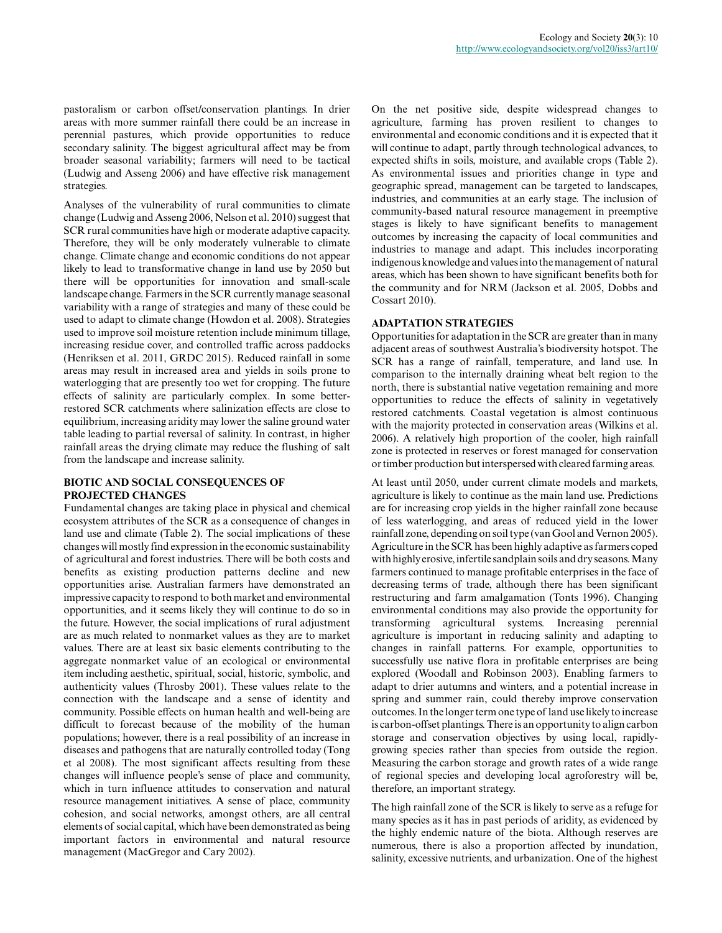pastoralism or carbon offset/conservation plantings. In drier areas with more summer rainfall there could be an increase in perennial pastures, which provide opportunities to reduce secondary salinity. The biggest agricultural affect may be from broader seasonal variability; farmers will need to be tactical (Ludwig and Asseng 2006) and have effective risk management strategies.

Analyses of the vulnerability of rural communities to climate change (Ludwig and Asseng 2006, Nelson et al. 2010) suggest that SCR rural communities have high or moderate adaptive capacity. Therefore, they will be only moderately vulnerable to climate change. Climate change and economic conditions do not appear likely to lead to transformative change in land use by 2050 but there will be opportunities for innovation and small-scale landscape change. Farmers in the SCR currently manage seasonal variability with a range of strategies and many of these could be used to adapt to climate change (Howdon et al. 2008). Strategies used to improve soil moisture retention include minimum tillage, increasing residue cover, and controlled traffic across paddocks (Henriksen et al. 2011, GRDC 2015). Reduced rainfall in some areas may result in increased area and yields in soils prone to waterlogging that are presently too wet for cropping. The future effects of salinity are particularly complex. In some betterrestored SCR catchments where salinization effects are close to equilibrium, increasing aridity may lower the saline ground water table leading to partial reversal of salinity. In contrast, in higher rainfall areas the drying climate may reduce the flushing of salt from the landscape and increase salinity.

# **BIOTIC AND SOCIAL CONSEQUENCES OF PROJECTED CHANGES**

Fundamental changes are taking place in physical and chemical ecosystem attributes of the SCR as a consequence of changes in land use and climate (Table 2). The social implications of these changes will mostly find expression in the economic sustainability of agricultural and forest industries. There will be both costs and benefits as existing production patterns decline and new opportunities arise. Australian farmers have demonstrated an impressive capacity to respond to both market and environmental opportunities, and it seems likely they will continue to do so in the future. However, the social implications of rural adjustment are as much related to nonmarket values as they are to market values. There are at least six basic elements contributing to the aggregate nonmarket value of an ecological or environmental item including aesthetic, spiritual, social, historic, symbolic, and authenticity values (Throsby 2001). These values relate to the connection with the landscape and a sense of identity and community. Possible effects on human health and well-being are difficult to forecast because of the mobility of the human populations; however, there is a real possibility of an increase in diseases and pathogens that are naturally controlled today (Tong et al 2008). The most significant affects resulting from these changes will influence people's sense of place and community, which in turn influence attitudes to conservation and natural resource management initiatives. A sense of place, community cohesion, and social networks, amongst others, are all central elements of social capital, which have been demonstrated as being important factors in environmental and natural resource management (MacGregor and Cary 2002).

On the net positive side, despite widespread changes to agriculture, farming has proven resilient to changes to environmental and economic conditions and it is expected that it will continue to adapt, partly through technological advances, to expected shifts in soils, moisture, and available crops (Table 2). As environmental issues and priorities change in type and geographic spread, management can be targeted to landscapes, industries, and communities at an early stage. The inclusion of community-based natural resource management in preemptive stages is likely to have significant benefits to management outcomes by increasing the capacity of local communities and industries to manage and adapt. This includes incorporating indigenous knowledge and values into the management of natural areas, which has been shown to have significant benefits both for the community and for NRM (Jackson et al. 2005, Dobbs and Cossart 2010).

# **ADAPTATION STRATEGIES**

Opportunities for adaptation in the SCR are greater than in many adjacent areas of southwest Australia's biodiversity hotspot. The SCR has a range of rainfall, temperature, and land use. In comparison to the internally draining wheat belt region to the north, there is substantial native vegetation remaining and more opportunities to reduce the effects of salinity in vegetatively restored catchments. Coastal vegetation is almost continuous with the majority protected in conservation areas (Wilkins et al. 2006). A relatively high proportion of the cooler, high rainfall zone is protected in reserves or forest managed for conservation or timber production but interspersed with cleared farming areas.

At least until 2050, under current climate models and markets, agriculture is likely to continue as the main land use. Predictions are for increasing crop yields in the higher rainfall zone because of less waterlogging, and areas of reduced yield in the lower rainfall zone, depending on soil type (van Gool and Vernon 2005). Agriculture in the SCR has been highly adaptive as farmers coped with highly erosive, infertile sandplain soils and dry seasons. Many farmers continued to manage profitable enterprises in the face of decreasing terms of trade, although there has been significant restructuring and farm amalgamation (Tonts 1996). Changing environmental conditions may also provide the opportunity for transforming agricultural systems. Increasing perennial agriculture is important in reducing salinity and adapting to changes in rainfall patterns. For example, opportunities to successfully use native flora in profitable enterprises are being explored (Woodall and Robinson 2003). Enabling farmers to adapt to drier autumns and winters, and a potential increase in spring and summer rain, could thereby improve conservation outcomes. In the longer term one type of land use likely to increase is carbon-offset plantings. There is an opportunity to align carbon storage and conservation objectives by using local, rapidlygrowing species rather than species from outside the region. Measuring the carbon storage and growth rates of a wide range of regional species and developing local agroforestry will be, therefore, an important strategy.

The high rainfall zone of the SCR is likely to serve as a refuge for many species as it has in past periods of aridity, as evidenced by the highly endemic nature of the biota. Although reserves are numerous, there is also a proportion affected by inundation, salinity, excessive nutrients, and urbanization. One of the highest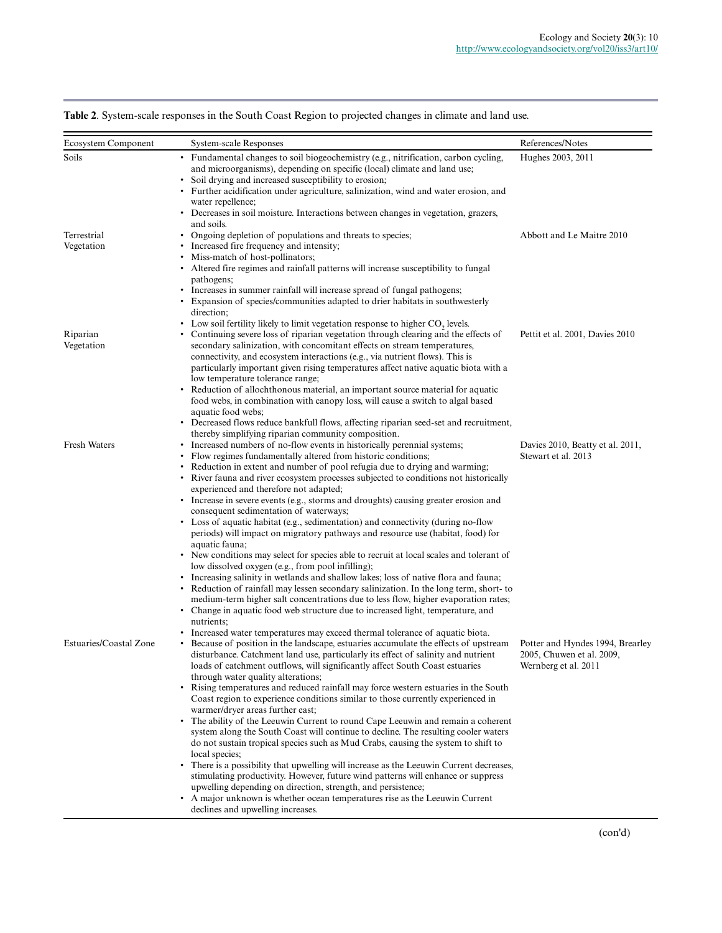| Ecosystem Component       | System-scale Responses                                                                                                                                                                                                                                                                                                                                                                                                     | References/Notes                                                                      |
|---------------------------|----------------------------------------------------------------------------------------------------------------------------------------------------------------------------------------------------------------------------------------------------------------------------------------------------------------------------------------------------------------------------------------------------------------------------|---------------------------------------------------------------------------------------|
| Soils                     | • Fundamental changes to soil biogeochemistry (e.g., nitrification, carbon cycling,<br>and microorganisms), depending on specific (local) climate and land use;<br>Soil drying and increased susceptibility to erosion;<br>٠<br>• Further acidification under agriculture, salinization, wind and water erosion, and                                                                                                       | Hughes 2003, 2011                                                                     |
|                           | water repellence;<br>• Decreases in soil moisture. Interactions between changes in vegetation, grazers,<br>and soils.                                                                                                                                                                                                                                                                                                      |                                                                                       |
| Terrestrial<br>Vegetation | • Ongoing depletion of populations and threats to species;<br>• Increased fire frequency and intensity;                                                                                                                                                                                                                                                                                                                    | Abbott and Le Maitre 2010                                                             |
|                           | Miss-match of host-pollinators;<br>• Altered fire regimes and rainfall patterns will increase susceptibility to fungal<br>pathogens;                                                                                                                                                                                                                                                                                       |                                                                                       |
|                           | • Increases in summer rainfall will increase spread of fungal pathogens;<br>• Expansion of species/communities adapted to drier habitats in southwesterly<br>direction:                                                                                                                                                                                                                                                    |                                                                                       |
| Riparian<br>Vegetation    | • Low soil fertility likely to limit vegetation response to higher $CO2$ levels.<br>• Continuing severe loss of riparian vegetation through clearing and the effects of<br>secondary salinization, with concomitant effects on stream temperatures,<br>connectivity, and ecosystem interactions (e.g., via nutrient flows). This is<br>particularly important given rising temperatures affect native aquatic biota with a | Pettit et al. 2001, Davies 2010                                                       |
|                           | low temperature tolerance range;<br>• Reduction of allochthonous material, an important source material for aquatic<br>food webs, in combination with canopy loss, will cause a switch to algal based<br>aquatic food webs;                                                                                                                                                                                                |                                                                                       |
| <b>Fresh Waters</b>       | • Decreased flows reduce bankfull flows, affecting riparian seed-set and recruitment,<br>thereby simplifying riparian community composition.<br>• Increased numbers of no-flow events in historically perennial systems;                                                                                                                                                                                                   | Davies 2010, Beatty et al. 2011,                                                      |
|                           | • Flow regimes fundamentally altered from historic conditions;<br>• Reduction in extent and number of pool refugia due to drying and warming;<br>• River fauna and river ecosystem processes subjected to conditions not historically<br>experienced and therefore not adapted;                                                                                                                                            | Stewart et al. 2013                                                                   |
|                           | • Increase in severe events (e.g., storms and droughts) causing greater erosion and<br>consequent sedimentation of waterways;<br>• Loss of aquatic habitat (e.g., sedimentation) and connectivity (during no-flow                                                                                                                                                                                                          |                                                                                       |
|                           | periods) will impact on migratory pathways and resource use (habitat, food) for<br>aquatic fauna;<br>• New conditions may select for species able to recruit at local scales and tolerant of                                                                                                                                                                                                                               |                                                                                       |
|                           | low dissolved oxygen (e.g., from pool infilling);<br>• Increasing salinity in wetlands and shallow lakes; loss of native flora and fauna;<br>• Reduction of rainfall may lessen secondary salinization. In the long term, short-to                                                                                                                                                                                         |                                                                                       |
|                           | medium-term higher salt concentrations due to less flow, higher evaporation rates;<br>• Change in aquatic food web structure due to increased light, temperature, and<br>nutrients;                                                                                                                                                                                                                                        |                                                                                       |
| Estuaries/Coastal Zone    | • Increased water temperatures may exceed thermal tolerance of aquatic biota.<br>• Because of position in the landscape, estuaries accumulate the effects of upstream<br>disturbance. Catchment land use, particularly its effect of salinity and nutrient<br>loads of catchment outflows, will significantly affect South Coast estuaries<br>through water quality alterations;                                           | Potter and Hyndes 1994, Brearley<br>2005, Chuwen et al. 2009.<br>Wernberg et al. 2011 |
|                           | • Rising temperatures and reduced rainfall may force western estuaries in the South<br>Coast region to experience conditions similar to those currently experienced in<br>warmer/dryer areas further east;                                                                                                                                                                                                                 |                                                                                       |
|                           | The ability of the Leeuwin Current to round Cape Leeuwin and remain a coherent<br>$\bullet$<br>system along the South Coast will continue to decline. The resulting cooler waters<br>do not sustain tropical species such as Mud Crabs, causing the system to shift to                                                                                                                                                     |                                                                                       |
|                           | local species;<br>• There is a possibility that upwelling will increase as the Leeuwin Current decreases,<br>stimulating productivity. However, future wind patterns will enhance or suppress<br>upwelling depending on direction, strength, and persistence;                                                                                                                                                              |                                                                                       |
|                           | • A major unknown is whether ocean temperatures rise as the Leeuwin Current<br>declines and upwelling increases.                                                                                                                                                                                                                                                                                                           |                                                                                       |

# **Table 2**. System-scale responses in the South Coast Region to projected changes in climate and land use.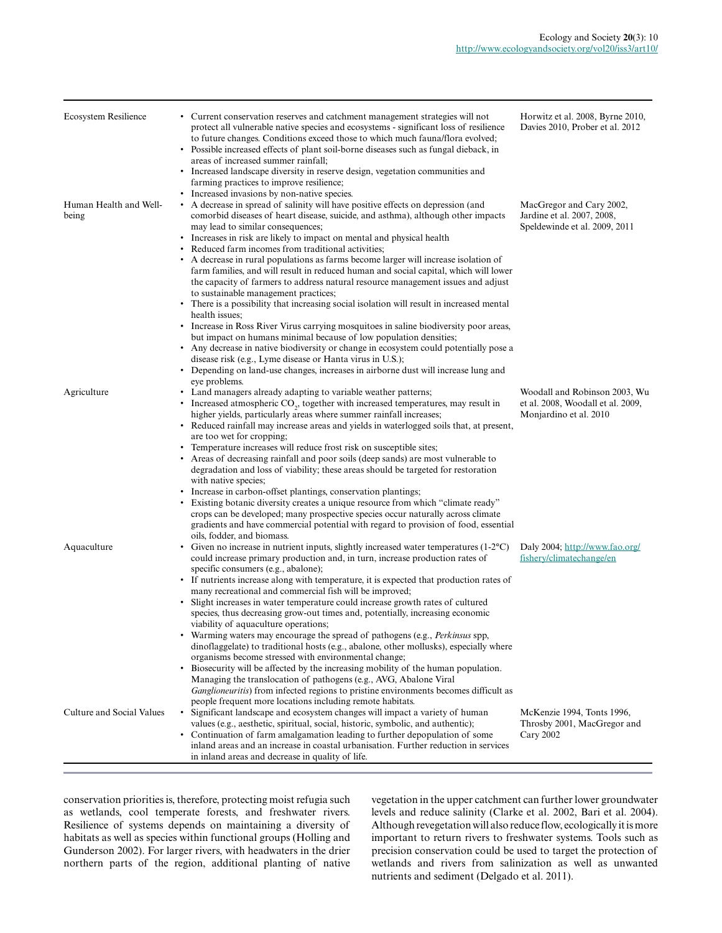| <b>Ecosystem Resilience</b>     | • Current conservation reserves and catchment management strategies will not<br>protect all vulnerable native species and ecosystems - significant loss of resilience<br>to future changes. Conditions exceed those to which much fauna/flora evolved;<br>• Possible increased effects of plant soil-borne diseases such as fungal dieback, in<br>areas of increased summer rainfall;<br>• Increased landscape diversity in reserve design, vegetation communities and | Horwitz et al. 2008, Byrne 2010,<br>Davies 2010, Prober et al. 2012                          |
|---------------------------------|------------------------------------------------------------------------------------------------------------------------------------------------------------------------------------------------------------------------------------------------------------------------------------------------------------------------------------------------------------------------------------------------------------------------------------------------------------------------|----------------------------------------------------------------------------------------------|
| Human Health and Well-<br>being | farming practices to improve resilience;<br>• Increased invasions by non-native species.<br>• A decrease in spread of salinity will have positive effects on depression (and<br>comorbid diseases of heart disease, suicide, and asthma), although other impacts<br>may lead to similar consequences;                                                                                                                                                                  | MacGregor and Cary 2002,<br>Jardine et al. 2007, 2008,<br>Speldewinde et al. 2009, 2011      |
|                                 | • Increases in risk are likely to impact on mental and physical health<br>Reduced farm incomes from traditional activities;<br>• A decrease in rural populations as farms become larger will increase isolation of<br>farm families, and will result in reduced human and social capital, which will lower<br>the capacity of farmers to address natural resource management issues and adjust<br>to sustainable management practices;                                 |                                                                                              |
|                                 | • There is a possibility that increasing social isolation will result in increased mental<br>health issues;<br>• Increase in Ross River Virus carrying mosquitoes in saline biodiversity poor areas,<br>but impact on humans minimal because of low population densities;<br>• Any decrease in native biodiversity or change in ecosystem could potentially pose a                                                                                                     |                                                                                              |
|                                 | disease risk (e.g., Lyme disease or Hanta virus in U.S.);<br>• Depending on land-use changes, increases in airborne dust will increase lung and<br>eye problems.                                                                                                                                                                                                                                                                                                       |                                                                                              |
| Agriculture                     | • Land managers already adapting to variable weather patterns;<br>• Increased atmospheric CO <sub>2</sub> , together with increased temperatures, may result in<br>higher yields, particularly areas where summer rainfall increases;<br>• Reduced rainfall may increase areas and yields in waterlogged soils that, at present,<br>are too wet for cropping;                                                                                                          | Woodall and Robinson 2003, Wu<br>et al. 2008, Woodall et al. 2009,<br>Monjardino et al. 2010 |
|                                 | • Temperature increases will reduce frost risk on susceptible sites;<br>• Areas of decreasing rainfall and poor soils (deep sands) are most vulnerable to<br>degradation and loss of viability; these areas should be targeted for restoration<br>with native species;<br>• Increase in carbon-offset plantings, conservation plantings;                                                                                                                               |                                                                                              |
|                                 | Existing botanic diversity creates a unique resource from which "climate ready"<br>crops can be developed; many prospective species occur naturally across climate<br>gradients and have commercial potential with regard to provision of food, essential<br>oils, fodder, and biomass.                                                                                                                                                                                |                                                                                              |
| Aquaculture                     | • Given no increase in nutrient inputs, slightly increased water temperatures $(1-2^{\circ}C)$<br>could increase primary production and, in turn, increase production rates of<br>specific consumers (e.g., abalone);                                                                                                                                                                                                                                                  | Daly 2004; http://www.fao.org/<br>fishery/climatechange/en                                   |
|                                 | • If nutrients increase along with temperature, it is expected that production rates of<br>many recreational and commercial fish will be improved;<br>• Slight increases in water temperature could increase growth rates of cultured<br>species, thus decreasing grow-out times and, potentially, increasing economic                                                                                                                                                 |                                                                                              |
|                                 | viability of aquaculture operations;<br>Warming waters may encourage the spread of pathogens (e.g., Perkinsus spp,<br>dinoflaggelate) to traditional hosts (e.g., abalone, other mollusks), especially where<br>organisms become stressed with environmental change;                                                                                                                                                                                                   |                                                                                              |
|                                 | • Biosecurity will be affected by the increasing mobility of the human population.<br>Managing the translocation of pathogens (e.g., AVG, Abalone Viral<br><i>Ganglioneuritis</i> ) from infected regions to pristine environments becomes difficult as                                                                                                                                                                                                                |                                                                                              |
| Culture and Social Values       | people frequent more locations including remote habitats.<br>• Significant landscape and ecosystem changes will impact a variety of human<br>values (e.g., aesthetic, spiritual, social, historic, symbolic, and authentic);<br>• Continuation of farm amalgamation leading to further depopulation of some<br>inland areas and an increase in coastal urbanisation. Further reduction in services<br>in inland areas and decrease in quality of life.                 | McKenzie 1994, Tonts 1996,<br>Throsby 2001, MacGregor and<br><b>Cary 2002</b>                |

conservation priorities is, therefore, protecting moist refugia such as wetlands, cool temperate forests, and freshwater rivers. Resilience of systems depends on maintaining a diversity of habitats as well as species within functional groups (Holling and Gunderson 2002). For larger rivers, with headwaters in the drier northern parts of the region, additional planting of native vegetation in the upper catchment can further lower groundwater levels and reduce salinity (Clarke et al. 2002, Bari et al. 2004). Although revegetation will also reduce flow, ecologically it is more important to return rivers to freshwater systems. Tools such as precision conservation could be used to target the protection of wetlands and rivers from salinization as well as unwanted nutrients and sediment (Delgado et al. 2011).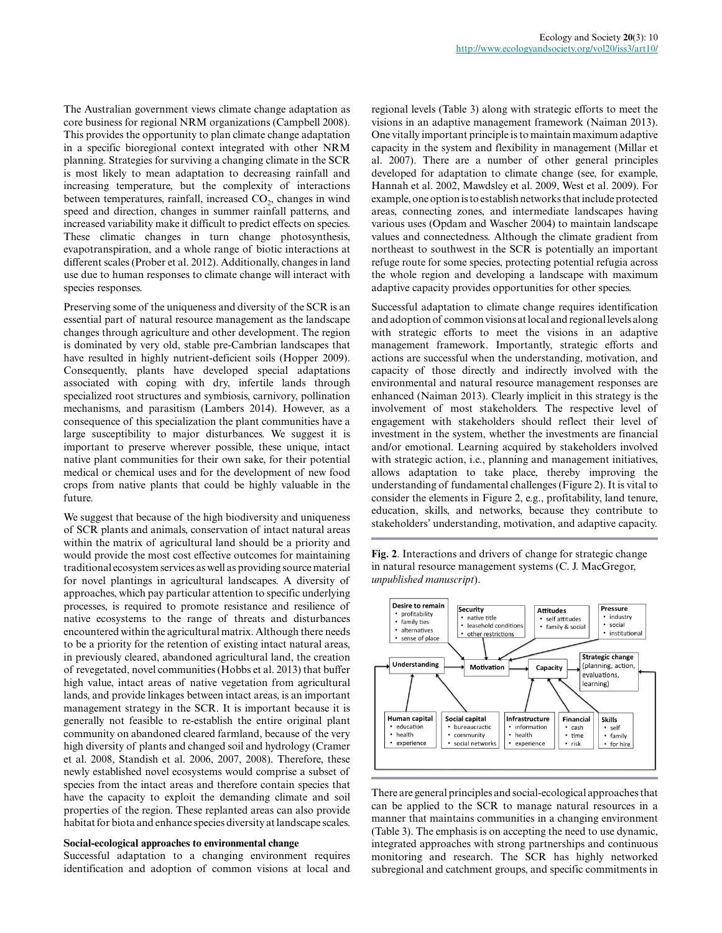The Australian government views climate change adaptation as core business for regional NRM organizations (Campbell 2008). This provides the opportunity to plan climate change adaptation in a specific bioregional context integrated with other NRM planning. Strategies for surviving a changing climate in the SCR is most likely to mean adaptation to decreasing rainfall and increasing temperature, but the complexity of interactions between temperatures, rainfall, increased  $CO<sub>2</sub>$ , changes in wind speed and direction, changes in summer rainfall patterns, and increased variability make it difficult to predict effects on species. These climatic changes in turn change photosynthesis, evapotranspiration, and a whole range of biotic interactions at different scales (Prober et al. 2012). Additionally, changes in land use due to human responses to climate change will interact with species responses.

Preserving some of the uniqueness and diversity of the SCR is an essential part of natural resource management as the landscape changes through agriculture and other development. The region is dominated by very old, stable pre-Cambrian landscapes that have resulted in highly nutrient-deficient soils (Hopper 2009). Consequently, plants have developed special adaptations associated with coping with dry, infertile lands through specialized root structures and symbiosis, carnivory, pollination mechanisms, and parasitism (Lambers 2014). However, as a consequence of this specialization the plant communities have a large susceptibility to major disturbances. We suggest it is important to preserve wherever possible, these unique, intact native plant communities for their own sake, for their potential medical or chemical uses and for the development of new food crops from native plants that could be highly valuable in the future.

We suggest that because of the high biodiversity and uniqueness of SCR plants and animals, conservation of intact natural areas within the matrix of agricultural land should be a priority and would provide the most cost effective outcomes for maintaining traditional ecosystem services as well as providing source material for novel plantings in agricultural landscapes. A diversity of approaches, which pay particular attention to specific underlying processes, is required to promote resistance and resilience of native ecosystems to the range of threats and disturbances encountered within the agricultural matrix. Although there needs to be a priority for the retention of existing intact natural areas, in previously cleared, abandoned agricultural land, the creation of revegetated, novel communities (Hobbs et al. 2013) that buffer high value, intact areas of native vegetation from agricultural lands, and provide linkages between intact areas, is an important management strategy in the SCR. It is important because it is generally not feasible to re-establish the entire original plant community on abandoned cleared farmland, because of the very high diversity of plants and changed soil and hydrology (Cramer et al. 2008, Standish et al. 2006, 2007, 2008). Therefore, these newly established novel ecosystems would comprise a subset of species from the intact areas and therefore contain species that have the capacity to exploit the demanding climate and soil properties of the region. These replanted areas can also provide habitat for biota and enhance species diversity at landscape scales.

#### **Social-ecological approaches to environmental change**

Successful adaptation to a changing environment requires identification and adoption of common visions at local and regional levels (Table 3) along with strategic efforts to meet the visions in an adaptive management framework (Naiman 2013). One vitally important principle is to maintain maximum adaptive capacity in the system and flexibility in management (Millar et al. 2007). There are a number of other general principles developed for adaptation to climate change (see, for example, Hannah et al. 2002, Mawdsley et al. 2009, West et al. 2009). For example, one option is to establish networks that include protected areas, connecting zones, and intermediate landscapes having various uses (Opdam and Wascher 2004) to maintain landscape values and connectedness. Although the climate gradient from northeast to southwest in the SCR is potentially an important refuge route for some species, protecting potential refugia across the whole region and developing a landscape with maximum adaptive capacity provides opportunities for other species.

Successful adaptation to climate change requires identification and adoption of common visions at local and regional levels along with strategic efforts to meet the visions in an adaptive management framework. Importantly, strategic efforts and actions are successful when the understanding, motivation, and capacity of those directly and indirectly involved with the environmental and natural resource management responses are enhanced (Naiman 2013). Clearly implicit in this strategy is the involvement of most stakeholders. The respective level of engagement with stakeholders should reflect their level of investment in the system, whether the investments are financial and/or emotional. Learning acquired by stakeholders involved with strategic action, i.e., planning and management initiatives, allows adaptation to take place, thereby improving the understanding of fundamental challenges (Figure 2). It is vital to consider the elements in Figure 2, e.g., profitability, land tenure, education, skills, and networks, because they contribute to stakeholders' understanding, motivation, and adaptive capacity.

**Fig. 2**. Interactions and drivers of change for strategic change in natural resource management systems (C. J. MacGregor, *unpublished manuscript*).



There are general principles and social-ecological approaches that can be applied to the SCR to manage natural resources in a manner that maintains communities in a changing environment (Table 3). The emphasis is on accepting the need to use dynamic, integrated approaches with strong partnerships and continuous monitoring and research. The SCR has highly networked subregional and catchment groups, and specific commitments in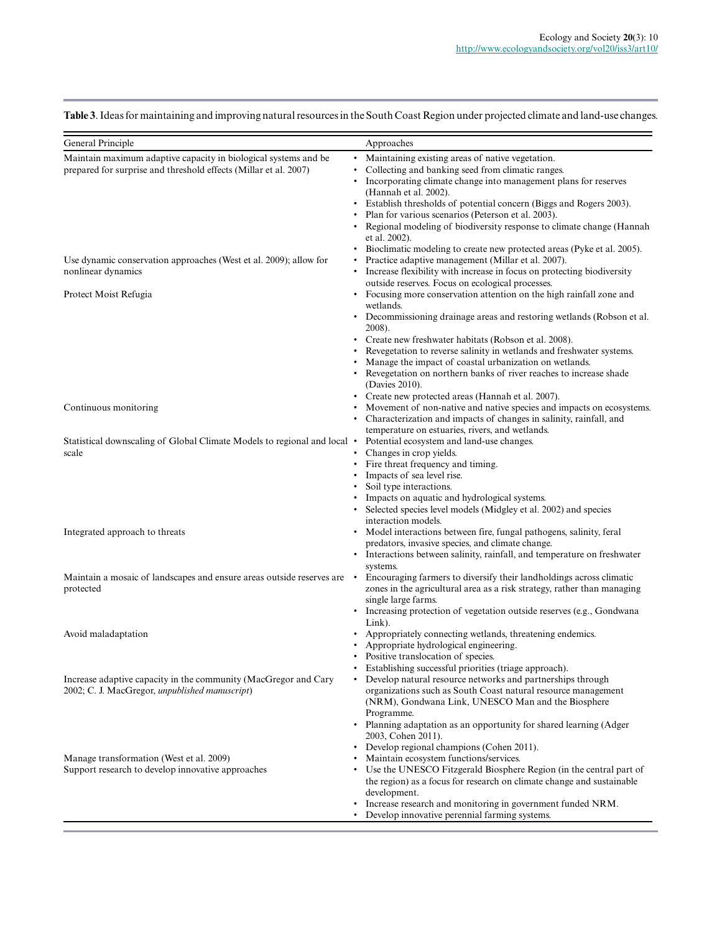**Table 3**. Ideas for maintaining and improving natural resources in the South Coast Region under projected climate and land-use changes.

| General Principle                                                        | Approaches                                                                                                                     |  |  |
|--------------------------------------------------------------------------|--------------------------------------------------------------------------------------------------------------------------------|--|--|
| Maintain maximum adaptive capacity in biological systems and be          | • Maintaining existing areas of native vegetation.                                                                             |  |  |
| prepared for surprise and threshold effects (Millar et al. 2007)         | Collecting and banking seed from climatic ranges.                                                                              |  |  |
|                                                                          | Incorporating climate change into management plans for reserves                                                                |  |  |
|                                                                          | (Hannah et al. 2002).                                                                                                          |  |  |
|                                                                          | Establish thresholds of potential concern (Biggs and Rogers 2003).                                                             |  |  |
|                                                                          | Plan for various scenarios (Peterson et al. 2003).                                                                             |  |  |
|                                                                          | Regional modeling of biodiversity response to climate change (Hannah                                                           |  |  |
|                                                                          | et al. 2002).                                                                                                                  |  |  |
|                                                                          | Bioclimatic modeling to create new protected areas (Pyke et al. 2005).                                                         |  |  |
| Use dynamic conservation approaches (West et al. 2009); allow for        | Practice adaptive management (Millar et al. 2007).                                                                             |  |  |
| nonlinear dynamics                                                       | Increase flexibility with increase in focus on protecting biodiversity                                                         |  |  |
|                                                                          | outside reserves. Focus on ecological processes.                                                                               |  |  |
| Protect Moist Refugia                                                    | • Focusing more conservation attention on the high rainfall zone and                                                           |  |  |
|                                                                          | wetlands.                                                                                                                      |  |  |
|                                                                          | • Decommissioning drainage areas and restoring wetlands (Robson et al.                                                         |  |  |
|                                                                          | 2008).                                                                                                                         |  |  |
|                                                                          | Create new freshwater habitats (Robson et al. 2008).                                                                           |  |  |
|                                                                          | Revegetation to reverse salinity in wetlands and freshwater systems.<br>Manage the impact of coastal urbanization on wetlands. |  |  |
|                                                                          | • Revegetation on northern banks of river reaches to increase shade                                                            |  |  |
|                                                                          | (Davies 2010).                                                                                                                 |  |  |
|                                                                          | Create new protected areas (Hannah et al. 2007).                                                                               |  |  |
| Continuous monitoring                                                    | Movement of non-native and native species and impacts on ecosystems.                                                           |  |  |
|                                                                          | • Characterization and impacts of changes in salinity, rainfall, and                                                           |  |  |
|                                                                          | temperature on estuaries, rivers, and wetlands.                                                                                |  |  |
| Statistical downscaling of Global Climate Models to regional and local • | Potential ecosystem and land-use changes.                                                                                      |  |  |
| scale                                                                    | Changes in crop yields.                                                                                                        |  |  |
|                                                                          | Fire threat frequency and timing.<br>$\bullet$                                                                                 |  |  |
|                                                                          | Impacts of sea level rise.                                                                                                     |  |  |
|                                                                          | Soil type interactions.                                                                                                        |  |  |
|                                                                          | Impacts on aquatic and hydrological systems.                                                                                   |  |  |
|                                                                          | Selected species level models (Midgley et al. 2002) and species                                                                |  |  |
|                                                                          | interaction models.                                                                                                            |  |  |
| Integrated approach to threats                                           | Model interactions between fire, fungal pathogens, salinity, feral                                                             |  |  |
|                                                                          | predators, invasive species, and climate change.                                                                               |  |  |
|                                                                          | • Interactions between salinity, rainfall, and temperature on freshwater                                                       |  |  |
|                                                                          | systems.                                                                                                                       |  |  |
| Maintain a mosaic of landscapes and ensure areas outside reserves are    | Encouraging farmers to diversify their landholdings across climatic<br>$\bullet$                                               |  |  |
| protected                                                                | zones in the agricultural area as a risk strategy, rather than managing<br>single large farms.                                 |  |  |
|                                                                          | • Increasing protection of vegetation outside reserves (e.g., Gondwana                                                         |  |  |
|                                                                          | Link).                                                                                                                         |  |  |
| Avoid maladaptation                                                      | Appropriately connecting wetlands, threatening endemics.                                                                       |  |  |
|                                                                          | Appropriate hydrological engineering.                                                                                          |  |  |
|                                                                          | Positive translocation of species.                                                                                             |  |  |
|                                                                          | Establishing successful priorities (triage approach).                                                                          |  |  |
| Increase adaptive capacity in the community (MacGregor and Cary          | Develop natural resource networks and partnerships through                                                                     |  |  |
| 2002; C. J. MacGregor, unpublished manuscript)                           | organizations such as South Coast natural resource management                                                                  |  |  |
|                                                                          | (NRM), Gondwana Link, UNESCO Man and the Biosphere                                                                             |  |  |
|                                                                          | Programme.                                                                                                                     |  |  |
|                                                                          | • Planning adaptation as an opportunity for shared learning (Adger                                                             |  |  |
|                                                                          | 2003, Cohen 2011).                                                                                                             |  |  |
|                                                                          | • Develop regional champions (Cohen 2011).                                                                                     |  |  |
| Manage transformation (West et al. 2009)                                 | Maintain ecosystem functions/services.                                                                                         |  |  |
| Support research to develop innovative approaches                        | • Use the UNESCO Fitzgerald Biosphere Region (in the central part of                                                           |  |  |
|                                                                          | the region) as a focus for research on climate change and sustainable                                                          |  |  |
|                                                                          | development.<br>• Increase research and monitoring in government funded NRM.                                                   |  |  |
|                                                                          | • Develop innovative perennial farming systems.                                                                                |  |  |
|                                                                          |                                                                                                                                |  |  |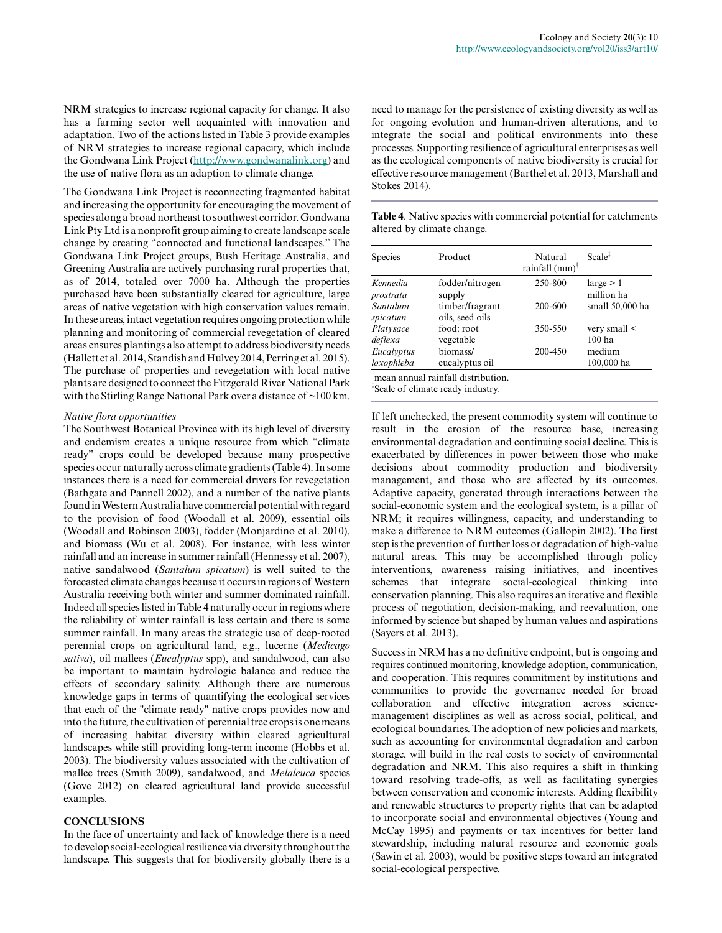NRM strategies to increase regional capacity for change. It also has a farming sector well acquainted with innovation and adaptation. Two of the actions listed in Table 3 provide examples of NRM strategies to increase regional capacity, which include the Gondwana Link Project [\(http://www.gondwanalink.org\)](http://www.gondwanalink.org) and the use of native flora as an adaption to climate change.

The Gondwana Link Project is reconnecting fragmented habitat and increasing the opportunity for encouraging the movement of species along a broad northeast to southwest corridor. Gondwana Link Pty Ltd is a nonprofit group aiming to create landscape scale change by creating "connected and functional landscapes." The Gondwana Link Project groups, Bush Heritage Australia, and Greening Australia are actively purchasing rural properties that, as of 2014, totaled over 7000 ha. Although the properties purchased have been substantially cleared for agriculture, large areas of native vegetation with high conservation values remain. In these areas, intact vegetation requires ongoing protection while planning and monitoring of commercial revegetation of cleared areas ensures plantings also attempt to address biodiversity needs (Hallett et al. 2014, Standish and Hulvey 2014, Perring et al. 2015). The purchase of properties and revegetation with local native plants are designed to connect the Fitzgerald River National Park with the Stirling Range National Park over a distance of ~100 km.

## *Native flora opportunities*

The Southwest Botanical Province with its high level of diversity and endemism creates a unique resource from which "climate ready" crops could be developed because many prospective species occur naturally across climate gradients (Table 4). In some instances there is a need for commercial drivers for revegetation (Bathgate and Pannell 2002), and a number of the native plants found in Western Australia have commercial potential with regard to the provision of food (Woodall et al. 2009), essential oils (Woodall and Robinson 2003), fodder (Monjardino et al. 2010), and biomass (Wu et al. 2008). For instance, with less winter rainfall and an increase in summer rainfall (Hennessy et al. 2007), native sandalwood (*Santalum spicatum*) is well suited to the forecasted climate changes because it occurs in regions of Western Australia receiving both winter and summer dominated rainfall. Indeed all species listed in Table 4 naturally occur in regions where the reliability of winter rainfall is less certain and there is some summer rainfall. In many areas the strategic use of deep-rooted perennial crops on agricultural land, e.g., lucerne (*Medicago sativa*), oil mallees (*Eucalyptus* spp), and sandalwood, can also be important to maintain hydrologic balance and reduce the effects of secondary salinity. Although there are numerous knowledge gaps in terms of quantifying the ecological services that each of the "climate ready" native crops provides now and into the future, the cultivation of perennial tree crops is one means of increasing habitat diversity within cleared agricultural landscapes while still providing long-term income (Hobbs et al. 2003). The biodiversity values associated with the cultivation of mallee trees (Smith 2009), sandalwood, and *Melaleuca* species (Gove 2012) on cleared agricultural land provide successful examples.

### **CONCLUSIONS**

In the face of uncertainty and lack of knowledge there is a need to develop social-ecological resilience via diversity throughout the landscape. This suggests that for biodiversity globally there is a need to manage for the persistence of existing diversity as well as for ongoing evolution and human-driven alterations, and to integrate the social and political environments into these processes. Supporting resilience of agricultural enterprises as well as the ecological components of native biodiversity is crucial for effective resource management (Barthel et al. 2013, Marshall and Stokes 2014).

**Table 4**. Native species with commercial potential for catchments altered by climate change.

| Species              | Product                            | <b>Natural</b><br>rainfall $(mm)$ <sup>T</sup> | Scale <sup>†</sup> |
|----------------------|------------------------------------|------------------------------------------------|--------------------|
| Kennedia             | fodder/nitrogen                    | 250-800                                        | large > 1          |
| prostrata            | supply                             |                                                | million ha         |
| Santalum<br>spicatum | timber/fragrant<br>oils, seed oils | 200-600                                        | small 50,000 ha    |
| Platysace            | food: root                         | 350-550                                        | very small $\leq$  |
| deflexa              | vegetable                          |                                                | $100$ ha           |
| Eucalyptus           | biomass/                           | 200-450                                        | medium             |
| loxophleba           | eucalyptus oil                     |                                                | 100,000 ha         |

†mean annual rainfall distribution.

‡ Scale of climate ready industry.

If left unchecked, the present commodity system will continue to result in the erosion of the resource base, increasing environmental degradation and continuing social decline. This is exacerbated by differences in power between those who make decisions about commodity production and biodiversity management, and those who are affected by its outcomes. Adaptive capacity, generated through interactions between the social-economic system and the ecological system, is a pillar of NRM; it requires willingness, capacity, and understanding to make a difference to NRM outcomes (Gallopin 2002). The first step is the prevention of further loss or degradation of high-value natural areas. This may be accomplished through policy interventions, awareness raising initiatives, and incentives schemes that integrate social-ecological thinking into conservation planning. This also requires an iterative and flexible process of negotiation, decision-making, and reevaluation, one informed by science but shaped by human values and aspirations (Sayers et al. 2013).

Success in NRM has a no definitive endpoint, but is ongoing and requires continued monitoring, knowledge adoption, communication, and cooperation. This requires commitment by institutions and communities to provide the governance needed for broad collaboration and effective integration across sciencemanagement disciplines as well as across social, political, and ecological boundaries. The adoption of new policies and markets, such as accounting for environmental degradation and carbon storage, will build in the real costs to society of environmental degradation and NRM. This also requires a shift in thinking toward resolving trade-offs, as well as facilitating synergies between conservation and economic interests. Adding flexibility and renewable structures to property rights that can be adapted to incorporate social and environmental objectives (Young and McCay 1995) and payments or tax incentives for better land stewardship, including natural resource and economic goals (Sawin et al. 2003), would be positive steps toward an integrated social-ecological perspective.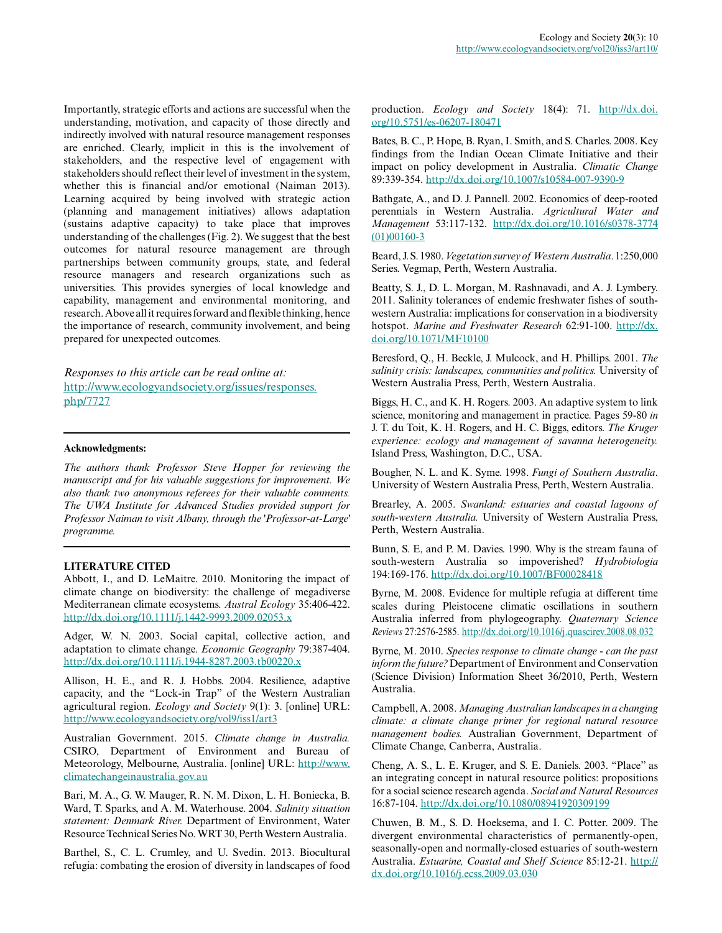Importantly, strategic efforts and actions are successful when the understanding, motivation, and capacity of those directly and indirectly involved with natural resource management responses are enriched. Clearly, implicit in this is the involvement of stakeholders, and the respective level of engagement with stakeholders should reflect their level of investment in the system, whether this is financial and/or emotional (Naiman 2013). Learning acquired by being involved with strategic action (planning and management initiatives) allows adaptation (sustains adaptive capacity) to take place that improves understanding of the challenges (Fig. 2). We suggest that the best outcomes for natural resource management are through partnerships between community groups, state, and federal resource managers and research organizations such as universities. This provides synergies of local knowledge and capability, management and environmental monitoring, and research. Above all it requires forward and flexible thinking, hence the importance of research, community involvement, and being prepared for unexpected outcomes.

*Responses to this article can be read online at:* [http://www.ecologyandsociety.org/issues/responses.](http://www.ecologyandsociety.org/issues/responses.php/7727) [php/7727](http://www.ecologyandsociety.org/issues/responses.php/7727)

#### **Acknowledgments:**

*The authors thank Professor Steve Hopper for reviewing the manuscript and for his valuable suggestions for improvement. We also thank two anonymous referees for their valuable comments. The UWA Institute for Advanced Studies provided support for Professor Naiman to visit Albany, through the 'Professor-at-Large' programme.*

### **LITERATURE CITED**

Abbott, I., and D. LeMaitre. 2010. Monitoring the impact of climate change on biodiversity: the challenge of megadiverse Mediterranean climate ecosystems. *Austral Ecology* 35:406-422. [http://dx.doi.org/10.1111/j.1442-9993.2009.02053.x](http://dx.doi.org/10.1111%2Fj.1442-9993.2009.02053.x) 

Adger, W. N. 2003. Social capital, collective action, and adaptation to climate change. *Economic Geography* 79:387-404. [http://dx.doi.org/10.1111/j.1944-8287.2003.tb00220.x](http://dx.doi.org/10.1111%2Fj.1944-8287.2003.tb00220.x)

Allison, H. E., and R. J. Hobbs. 2004. Resilience, adaptive capacity, and the "Lock-in Trap" of the Western Australian agricultural region. *Ecology and Society* 9(1): 3. [online] URL: <http://www.ecologyandsociety.org/vol9/iss1/art3>

Australian Government. 2015. *Climate change in Australia.* CSIRO, Department of Environment and Bureau of Meteorology, Melbourne, Australia. [online] URL: [http://www.](http://www.climatechangeinaustralia.gov.au) [climatechangeinaustralia.gov.au](http://www.climatechangeinaustralia.gov.au)

Bari, M. A., G. W. Mauger, R. N. M. Dixon, L. H. Boniecka, B. Ward, T. Sparks, and A. M. Waterhouse. 2004. *Salinity situation statement: Denmark River.* Department of Environment, Water Resource Technical Series No. WRT 30, Perth Western Australia.

Barthel, S., C. L. Crumley, and U. Svedin. 2013. Biocultural refugia: combating the erosion of diversity in landscapes of food production. *Ecology and Society* 18(4): 71. [http://dx.doi.](http://dx.doi.org/10.5751%2Fes-06207-180471) [org/10.5751/es-06207-180471](http://dx.doi.org/10.5751%2Fes-06207-180471)

Bates, B. C., P. Hope, B. Ryan, I. Smith, and S. Charles. 2008. Key findings from the Indian Ocean Climate Initiative and their impact on policy development in Australia. *Climatic Change* 89:339-354. [http://dx.doi.org/10.1007/s10584-007-9390-9](http://dx.doi.org/10.1007%2Fs10584-007-9390-9)

Bathgate, A., and D. J. Pannell. 2002. Economics of deep-rooted perennials in Western Australia. *Agricultural Water and Management* 53:117-132. [http://dx.doi.org/10.1016/s0378-3774](http://dx.doi.org/10.1016%2Fs0378-3774%2801%2900160-3) [\(01\)00160-3](http://dx.doi.org/10.1016%2Fs0378-3774%2801%2900160-3) 

Beard, J. S. 1980. *Vegetation survey of Western Australia*. 1:250,000 Series. Vegmap, Perth, Western Australia.

Beatty, S. J., D. L. Morgan, M. Rashnavadi, and A. J. Lymbery. 2011. Salinity tolerances of endemic freshwater fishes of southwestern Australia: implications for conservation in a biodiversity hotspot. *Marine and Freshwater Research* 62:91-100. [http://dx.](http://dx.doi.org/10.1071%2FMF10100) [doi.org/10.1071/MF10100](http://dx.doi.org/10.1071%2FMF10100)

Beresford, Q., H. Beckle, J. Mulcock, and H. Phillips. 2001. *The salinity crisis: landscapes, communities and politics.* University of Western Australia Press, Perth, Western Australia.

Biggs, H. C., and K. H. Rogers. 2003. An adaptive system to link science, monitoring and management in practice. Pages 59-80 *in* J. T. du Toit, K. H. Rogers, and H. C. Biggs, editors. *The Kruger experience: ecology and management of savanna heterogeneity.* Island Press, Washington, D.C., USA.

Bougher, N. L. and K. Syme. 1998. *Fungi of Southern Australia*. University of Western Australia Press, Perth, Western Australia.

Brearley, A. 2005. *Swanland: estuaries and coastal lagoons of south-western Australia.* University of Western Australia Press, Perth, Western Australia.

Bunn, S. E, and P. M. Davies. 1990. Why is the stream fauna of south-western Australia so impoverished? *Hydrobiologia* 194:169-176. [http://dx.doi.org/10.1007/BF00028418](http://dx.doi.org/10.1007%2FBF00028418) 

Byrne, M. 2008. Evidence for multiple refugia at different time scales during Pleistocene climatic oscillations in southern Australia inferred from phylogeography. *Quaternary Science Reviews* 27:2576-2585. [http://dx.doi.org/10.1016/j.quascirev.2008.08.032](http://dx.doi.org/10.1016%2Fj.quascirev.2008.08.032)

Byrne, M. 2010. *Species response to climate change - can the past inform the future?* Department of Environment and Conservation (Science Division) Information Sheet 36/2010, Perth, Western Australia.

Campbell, A. 2008. *Managing Australian landscapes in a changing climate: a climate change primer for regional natural resource management bodies.* Australian Government, Department of Climate Change, Canberra, Australia.

Cheng, A. S., L. E. Kruger, and S. E. Daniels. 2003. "Place" as an integrating concept in natural resource politics: propositions for a social science research agenda. *Social and Natural Resources* 16:87-104. [http://dx.doi.org/10.1080/08941920309199](http://dx.doi.org/10.1080%2F08941920309199) 

Chuwen, B. M., S. D. Hoeksema, and I. C. Potter. 2009. The divergent environmental characteristics of permanently-open, seasonally-open and normally-closed estuaries of south-western Australia. *Estuarine, Coastal and Shelf Science* 85:12-21. [http://](http://dx.doi.org/10.1016%2Fj.ecss.2009.03.030) [dx.doi.org/10.1016/j.ecss.2009.03.030](http://dx.doi.org/10.1016%2Fj.ecss.2009.03.030)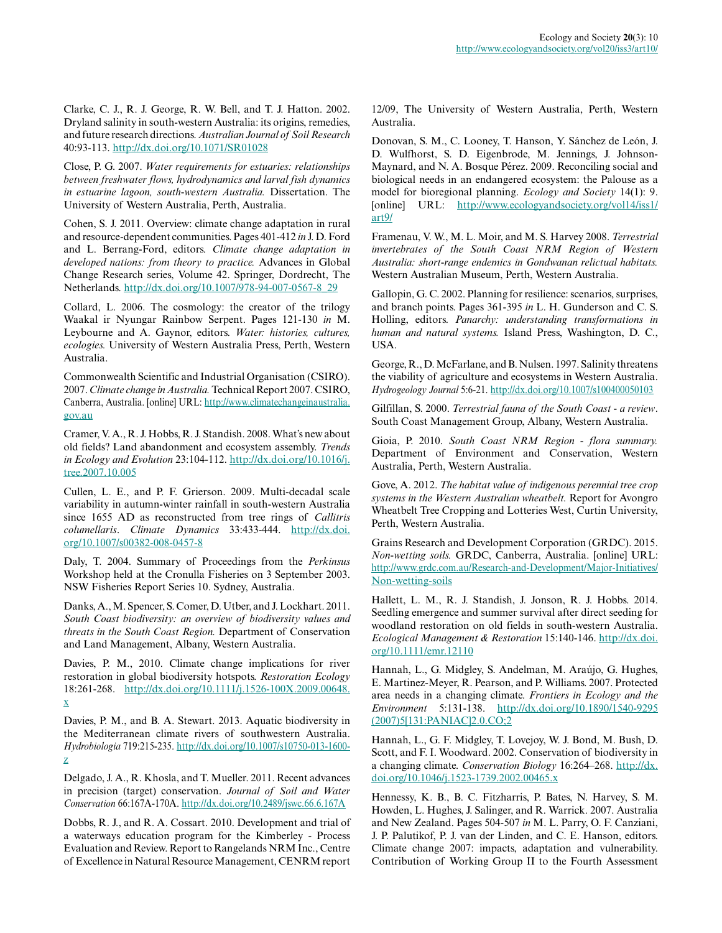Clarke, C. J., R. J. George, R. W. Bell, and T. J. Hatton. 2002. Dryland salinity in south-western Australia: its origins, remedies, and future research directions. *Australian Journal of Soil Research* 40:93-113. [http://dx.doi.org/10.1071/SR01028](http://dx.doi.org/10.1071%2FSR01028)

Close, P. G. 2007. *Water requirements for estuaries: relationships between freshwater flows, hydrodynamics and larval fish dynamics in estuarine lagoon, south-western Australia.* Dissertation. The University of Western Australia, Perth, Australia.

Cohen, S. J. 2011. Overview: climate change adaptation in rural and resource-dependent communities. Pages 401-412 *in* J. D. Ford and L. Berrang-Ford, editors. *Climate change adaptation in developed nations: from theory to practice.* Advances in Global Change Research series, Volume 42. Springer, Dordrecht, The Netherlands. [http://dx.doi.org/10.1007/978-94-007-0567-8\\_29](http://dx.doi.org/10.1007%2F978-94-007-0567-8_29)

Collard, L. 2006. The cosmology: the creator of the trilogy Waakal ir Nyungar Rainbow Serpent. Pages 121-130 *in* M. Leybourne and A. Gaynor, editors. *Water: histories, cultures, ecologies.* University of Western Australia Press, Perth, Western Australia.

Commonwealth Scientific and Industrial Organisation (CSIRO). 2007. *Climate change in Australia.* Technical Report 2007. CSIRO, Canberra, Australia. [online] URL: [http://www.climatechangeinaustralia.](http://www.climatechangeinaustralia.gov.au) [gov.au](http://www.climatechangeinaustralia.gov.au) 

Cramer, V. A., R. J. Hobbs, R. J. Standish. 2008. What's new about old fields? Land abandonment and ecosystem assembly. *Trends in Ecology and Evolution* 23:104-112. [http://dx.doi.org/10.1016/j.](http://dx.doi.org/10.1016%2Fj.tree.2007.10.005) [tree.2007.10.005](http://dx.doi.org/10.1016%2Fj.tree.2007.10.005) 

Cullen, L. E., and P. F. Grierson. 2009. Multi-decadal scale variability in autumn-winter rainfall in south-western Australia since 1655 AD as reconstructed from tree rings of *Callitris columellaris*. *Climate Dynamics* 33:433-444. [http://dx.doi.](http://dx.doi.org/10.1007%2Fs00382-008-0457-8) [org/10.1007/s00382-008-0457-8](http://dx.doi.org/10.1007%2Fs00382-008-0457-8)

Daly, T. 2004. Summary of Proceedings from the *Perkinsus* Workshop held at the Cronulla Fisheries on 3 September 2003. NSW Fisheries Report Series 10. Sydney, Australia.

Danks, A., M. Spencer, S. Comer, D. Utber, and J. Lockhart. 2011. *South Coast biodiversity: an overview of biodiversity values and threats in the South Coast Region.* Department of Conservation and Land Management, Albany, Western Australia.

Davies, P. M., 2010. Climate change implications for river restoration in global biodiversity hotspots. *Restoration Ecology* 18:261-268. [http://dx.doi.org/10.1111/j.1526-100X.2009.00648.](http://dx.doi.org/10.1111%2Fj.1526-100X.2009.00648.x) [x](http://dx.doi.org/10.1111%2Fj.1526-100X.2009.00648.x)

Davies, P. M., and B. A. Stewart. 2013. Aquatic biodiversity in the Mediterranean climate rivers of southwestern Australia. *Hydrobiologia* 719:215-235. [http://dx.doi.org/10.1007/s10750-013-1600](http://dx.doi.org/10.1007%2Fs10750-013-1600-z) [z](http://dx.doi.org/10.1007%2Fs10750-013-1600-z) 

Delgado, J. A., R. Khosla, and T. Mueller. 2011. Recent advances in precision (target) conservation. *Journal of Soil and Water Conservation* 66:167A-170A. [http://dx.doi.org/10.2489/jswc.66.6.167A](http://dx.doi.org/10.2489%2Fjswc.66.6.167A) 

Dobbs, R. J., and R. A. Cossart. 2010. Development and trial of a waterways education program for the Kimberley - Process Evaluation and Review. Report to Rangelands NRM Inc., Centre of Excellence in Natural Resource Management, CENRM report

12/09, The University of Western Australia, Perth, Western Australia.

Donovan, S. M., C. Looney, T. Hanson, Y. Sánchez de León, J. D. Wulfhorst, S. D. Eigenbrode, M. Jennings, J. Johnson-Maynard, and N. A. Bosque Pérez. 2009. Reconciling social and biological needs in an endangered ecosystem: the Palouse as a model for bioregional planning. *Ecology and Society* 14(1): 9. [online] URL: [http://www.ecologyandsociety.org/vol14/iss1/](http://www.ecologyandsociety.org/vol14/iss1/art9/) [art9/](http://www.ecologyandsociety.org/vol14/iss1/art9/) 

Framenau, V. W., M. L. Moir, and M. S. Harvey 2008. *Terrestrial invertebrates of the South Coast NRM Region of Western Australia: short-range endemics in Gondwanan relictual habitats.* Western Australian Museum, Perth, Western Australia.

Gallopin, G. C. 2002. Planning for resilience: scenarios, surprises, and branch points. Pages 361-395 *in* L. H. Gunderson and C. S. Holling, editors. *Panarchy: understanding transformations in human and natural systems.* Island Press, Washington, D. C., **USA** 

George, R., D. McFarlane, and B. Nulsen. 1997. Salinity threatens the viability of agriculture and ecosystems in Western Australia. *Hydrogeology Journal* 5:6-21. [http://dx.doi.org/10.1007/s100400050103](http://dx.doi.org/10.1007%2Fs100400050103) 

Gilfillan, S. 2000. *Terrestrial fauna of the South Coast - a review*. South Coast Management Group, Albany, Western Australia.

Gioia, P. 2010. *South Coast NRM Region - flora summary.* Department of Environment and Conservation, Western Australia, Perth, Western Australia.

Gove, A. 2012. *The habitat value of indigenous perennial tree crop systems in the Western Australian wheatbelt.* Report for Avongro Wheatbelt Tree Cropping and Lotteries West, Curtin University, Perth, Western Australia.

Grains Research and Development Corporation (GRDC). 2015. *Non-wetting soils.* GRDC, Canberra, Australia. [online] URL: [http://www.grdc.com.au/Research-and-Development/Major-Initiatives/](http://www.grdc.com.au/Research-and-Development/Major-Initiatives/Non-wetting-soils) [Non-wetting-soils](http://www.grdc.com.au/Research-and-Development/Major-Initiatives/Non-wetting-soils)

Hallett, L. M., R. J. Standish, J. Jonson, R. J. Hobbs. 2014. Seedling emergence and summer survival after direct seeding for woodland restoration on old fields in south-western Australia. *Ecological Management & Restoration* 15:140-146. [http://dx.doi.](http://dx.doi.org/10.1111%2Femr.12110) [org/10.1111/emr.12110](http://dx.doi.org/10.1111%2Femr.12110)

Hannah, L., G. Midgley, S. Andelman, M. Araújo, G. Hughes, E. Martinez-Meyer, R. Pearson, and P. Williams. 2007. Protected area needs in a changing climate. *Frontiers in Ecology and the Environment* 5:131-138. [http://dx.doi.org/10.1890/1540-9295](http://dx.doi.org/10.1890%2F1540-9295%282007%295%5B131%3APANIAC%5D2.0.CO%3B2) [\(2007\)5\[131:PANIAC\]2.0.CO;2](http://dx.doi.org/10.1890%2F1540-9295%282007%295%5B131%3APANIAC%5D2.0.CO%3B2) 

Hannah, L., G. F. Midgley, T. Lovejoy, W. J. Bond, M. Bush, D. Scott, and F. I. Woodward. 2002. Conservation of biodiversity in a changing climate. *Conservation Biology* 16:264–268. [http://dx.](http://dx.doi.org/10.1046%2Fj.1523-1739.2002.00465.x) [doi.org/10.1046/j.1523-1739.2002.00465.x](http://dx.doi.org/10.1046%2Fj.1523-1739.2002.00465.x)

Hennessy, K. B., B. C. Fitzharris, P. Bates, N. Harvey, S. M. Howden, L. Hughes, J. Salinger, and R. Warrick. 2007. Australia and New Zealand. Pages 504-507 *in* M. L. Parry, O. F. Canziani, J. P. Palutikof, P. J. van der Linden, and C. E. Hanson, editors. Climate change 2007: impacts, adaptation and vulnerability. Contribution of Working Group II to the Fourth Assessment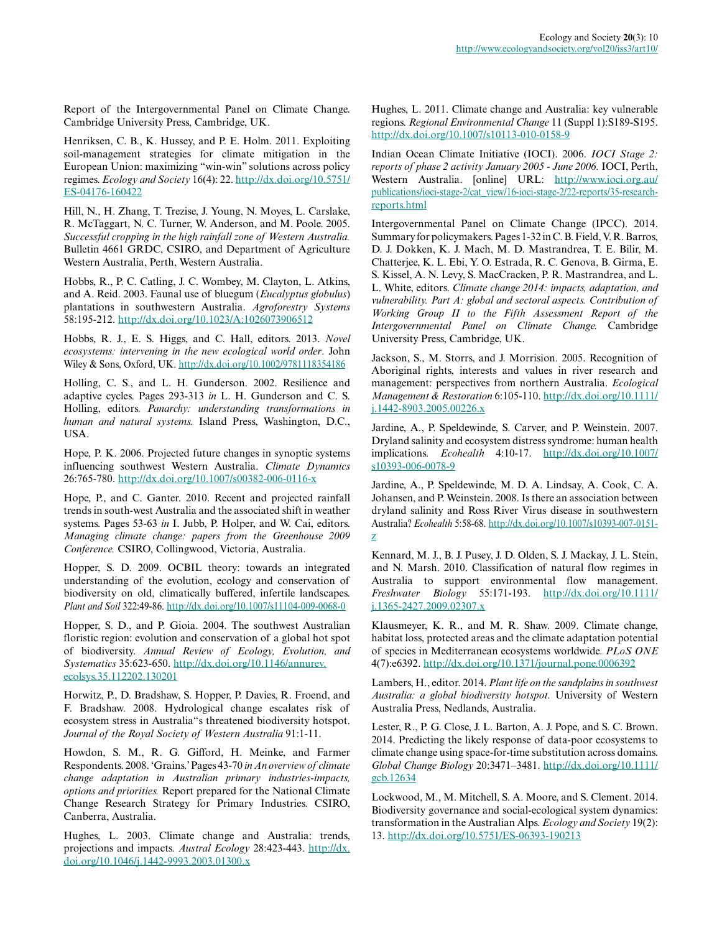Report of the Intergovernmental Panel on Climate Change. Cambridge University Press, Cambridge, UK.

Henriksen, C. B., K. Hussey, and P. E. Holm. 2011. Exploiting soil-management strategies for climate mitigation in the European Union: maximizing "win-win" solutions across policy regimes. *Ecology and Society* 16(4): 22. [http://dx.doi.org/10.5751/](http://dx.doi.org/10.5751%2FES-04176-160422) [ES-04176-160422](http://dx.doi.org/10.5751%2FES-04176-160422)

Hill, N., H. Zhang, T. Trezise, J. Young, N. Moyes, L. Carslake, R. McTaggart, N. C. Turner, W. Anderson, and M. Poole. 2005. *Successful cropping in the high rainfall zone of Western Australia.* Bulletin 4661 GRDC, CSIRO, and Department of Agriculture Western Australia, Perth, Western Australia.

Hobbs, R., P. C. Catling, J. C. Wombey, M. Clayton, L. Atkins, and A. Reid. 2003. Faunal use of bluegum (*Eucalyptus globulus*) plantations in southwestern Australia. *Agroforestry Systems* 58:195-212. [http://dx.doi.org/10.1023/A:1026073906512](http://dx.doi.org/10.1023%2FA%3A1026073906512)

Hobbs, R. J., E. S. Higgs, and C. Hall, editors. 2013. *Novel ecosystems: intervening in the new ecological world order*. John Wiley & Sons, Oxford, UK. [http://dx.doi.org/10.1002/9781118354186](http://dx.doi.org/10.1002%2F9781118354186) 

Holling, C. S., and L. H. Gunderson. 2002. Resilience and adaptive cycles. Pages 293-313 *in* L. H. Gunderson and C. S. Holling, editors. *Panarchy: understanding transformations in human and natural systems.* Island Press, Washington, D.C., USA.

Hope, P. K. 2006. Projected future changes in synoptic systems influencing southwest Western Australia. *Climate Dynamics* 26:765-780. [http://dx.doi.org/10.1007/s00382-006-0116-x](http://dx.doi.org/10.1007%2Fs00382-006-0116-x)

Hope, P., and C. Ganter. 2010. Recent and projected rainfall trends in south-west Australia and the associated shift in weather systems. Pages 53-63 *in* I. Jubb, P. Holper, and W. Cai, editors. *Managing climate change: papers from the Greenhouse 2009 Conference.* CSIRO, Collingwood, Victoria, Australia.

Hopper, S. D. 2009. OCBIL theory: towards an integrated understanding of the evolution, ecology and conservation of biodiversity on old, climatically buffered, infertile landscapes. *Plant and Soil* 322:49-86. [http://dx.doi.org/10.1007/s11104-009-0068-0](http://dx.doi.org/10.1007%2Fs11104-009-0068-0) 

Hopper, S. D., and P. Gioia. 2004. The southwest Australian floristic region: evolution and conservation of a global hot spot of biodiversity. *Annual Review of Ecology, Evolution, and Systematics* 35:623-650. [http://dx.doi.org/10.1146/annurev.](http://dx.doi.org/10.1146%2Fannurev.ecolsys.35.112202.130201) [ecolsys.35.112202.130201](http://dx.doi.org/10.1146%2Fannurev.ecolsys.35.112202.130201)

Horwitz, P., D. Bradshaw, S. Hopper, P. Davies, R. Froend, and F. Bradshaw. 2008. Hydrological change escalates risk of ecosystem stress in Australia"s threatened biodiversity hotspot. *Journal of the Royal Society of Western Australia* 91:1-11.

Howdon, S. M., R. G. Gifford, H. Meinke, and Farmer Respondents. 2008. 'Grains.' Pages 43-70 *in An overview of climate change adaptation in Australian primary industries-impacts, options and priorities.* Report prepared for the National Climate Change Research Strategy for Primary Industries. CSIRO, Canberra, Australia.

Hughes, L. 2003. Climate change and Australia: trends, projections and impacts. *Austral Ecology* 28:423-443. [http://dx.](http://dx.doi.org/10.1046%2Fj.1442-9993.2003.01300.x) [doi.org/10.1046/j.1442-9993.2003.01300.x](http://dx.doi.org/10.1046%2Fj.1442-9993.2003.01300.x)

Hughes, L. 2011. Climate change and Australia: key vulnerable regions. *Regional Environmental Change* 11 (Suppl 1):S189-S195. [http://dx.doi.org/10.1007/s10113-010-0158-9](http://dx.doi.org/10.1007%2Fs10113-010-0158-9)

Indian Ocean Climate Initiative (IOCI). 2006. *IOCI Stage 2: reports of phase 2 activity January 2005 - June 2006.* IOCI, Perth, Western Australia. [online] URL: [http://www.ioci.org.au/](http://www.ioci.org.au/publications/ioci-stage-2/cat_view/16-ioci-stage-2/22-reports/35-research-reports.html) [publications/ioci-stage-2/cat\\_view/16-ioci-stage-2/22-reports/35-research](http://www.ioci.org.au/publications/ioci-stage-2/cat_view/16-ioci-stage-2/22-reports/35-research-reports.html)[reports.html](http://www.ioci.org.au/publications/ioci-stage-2/cat_view/16-ioci-stage-2/22-reports/35-research-reports.html) 

Intergovernmental Panel on Climate Change (IPCC). 2014. Summary for policymakers. Pages 1-32 in C. B. Field, V. R. Barros, D. J. Dokken, K. J. Mach, M. D. Mastrandrea, T. E. Bilir, M. Chatterjee, K. L. Ebi, Y. O. Estrada, R. C. Genova, B. Girma, E. S. Kissel, A. N. Levy, S. MacCracken, P. R. Mastrandrea, and L. L. White, editors. *Climate change 2014: impacts, adaptation, and vulnerability. Part A: global and sectoral aspects. Contribution of Working Group II to the Fifth Assessment Report of the Intergovernmental Panel on Climate Change.* Cambridge University Press, Cambridge, UK.

Jackson, S., M. Storrs, and J. Morrision. 2005. Recognition of Aboriginal rights, interests and values in river research and management: perspectives from northern Australia. *Ecological Management & Restoration* 6:105-110. [http://dx.doi.org/10.1111/](http://dx.doi.org/10.1111%2Fj.1442-8903.2005.00226.x) [j.1442-8903.2005.00226.x](http://dx.doi.org/10.1111%2Fj.1442-8903.2005.00226.x)

Jardine, A., P. Speldewinde, S. Carver, and P. Weinstein. 2007. Dryland salinity and ecosystem distress syndrome: human health implications. *Ecohealth* 4:10-17. [http://dx.doi.org/10.1007/](http://dx.doi.org/10.1007%2Fs10393-006-0078-9) [s10393-006-0078-9](http://dx.doi.org/10.1007%2Fs10393-006-0078-9) 

Jardine, A., P. Speldewinde, M. D. A. Lindsay, A. Cook, C. A. Johansen, and P. Weinstein. 2008. Is there an association between dryland salinity and Ross River Virus disease in southwestern Australia? *Ecohealth* 5:58-68. [http://dx.doi.org/10.1007/s10393-007-0151](http://dx.doi.org/10.1007%2Fs10393-007-0151-z) [z](http://dx.doi.org/10.1007%2Fs10393-007-0151-z) 

Kennard, M. J., B. J. Pusey, J. D. Olden, S. J. Mackay, J. L. Stein, and N. Marsh. 2010. Classification of natural flow regimes in Australia to support environmental flow management. *Freshwater Biology* 55:171-193. [http://dx.doi.org/10.1111/](http://dx.doi.org/10.1111%2Fj.1365-2427.2009.02307.x) [j.1365-2427.2009.02307.x](http://dx.doi.org/10.1111%2Fj.1365-2427.2009.02307.x)

Klausmeyer, K. R., and M. R. Shaw. 2009. Climate change, habitat loss, protected areas and the climate adaptation potential of species in Mediterranean ecosystems worldwide. *PLoS ONE* 4(7):e6392. [http://dx.doi.org/10.1371/journal.pone.0006392](http://dx.doi.org/10.1371%2Fjournal.pone.0006392) 

Lambers, H., editor. 2014. *Plant life on the sandplains in southwest Australia: a global biodiversity hotspot.* University of Western Australia Press, Nedlands, Australia.

Lester, R., P. G. Close, J. L. Barton, A. J. Pope, and S. C. Brown. 2014. Predicting the likely response of data-poor ecosystems to climate change using space-for-time substitution across domains. *Global Change Biology* 20:3471–3481. [http://dx.doi.org/10.1111/](http://dx.doi.org/10.1111%2Fgcb.12634) [gcb.12634](http://dx.doi.org/10.1111%2Fgcb.12634) 

Lockwood, M., M. Mitchell, S. A. Moore, and S. Clement. 2014. Biodiversity governance and social-ecological system dynamics: transformation in the Australian Alps. *Ecology and Society* 19(2): 13. [http://dx.doi.org/10.5751/ES-06393-190213](http://dx.doi.org/10.5751%2FES-06393-190213)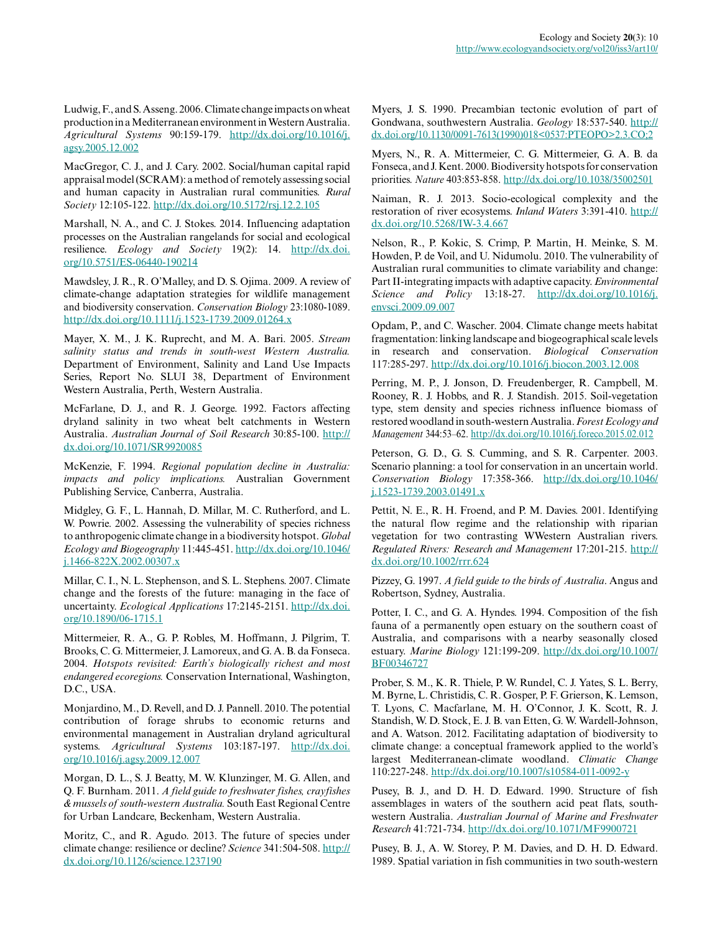Ludwig, F., and S. Asseng. 2006. Climate change impacts on wheat production in a Mediterranean environment in Western Australia. *Agricultural Systems* 90:159-179. [http://dx.doi.org/10.1016/j.](http://dx.doi.org/10.1016%2Fj.agsy.2005.12.002) [agsy.2005.12.002](http://dx.doi.org/10.1016%2Fj.agsy.2005.12.002) 

MacGregor, C. J., and J. Cary. 2002. Social/human capital rapid appraisal model (SCRAM): a method of remotely assessing social and human capacity in Australian rural communities. *Rural Society* 12:105-122. [http://dx.doi.org/10.5172/rsj.12.2.105](http://dx.doi.org/10.5172%2Frsj.12.2.105)

Marshall, N. A., and C. J. Stokes. 2014. Influencing adaptation processes on the Australian rangelands for social and ecological resilience. *Ecology and Society* 19(2): 14. [http://dx.doi.](http://dx.doi.org/10.5751%2FES-06440-190214) [org/10.5751/ES-06440-190214](http://dx.doi.org/10.5751%2FES-06440-190214) 

Mawdsley, J. R., R. O'Malley, and D. S. Ojima. 2009. A review of climate-change adaptation strategies for wildlife management and biodiversity conservation. *Conservation Biology* 23:1080-1089. [http://dx.doi.org/10.1111/j.1523-1739.2009.01264.x](http://dx.doi.org/10.1111%2Fj.1523-1739.2009.01264.x) 

Mayer, X. M., J. K. Ruprecht, and M. A. Bari. 2005. *Stream salinity status and trends in south-west Western Australia.* Department of Environment, Salinity and Land Use Impacts Series, Report No. SLUI 38, Department of Environment Western Australia, Perth, Western Australia.

McFarlane, D. J., and R. J. George. 1992. Factors affecting dryland salinity in two wheat belt catchments in Western Australia. *Australian Journal of Soil Research* 30:85-100. [http://](http://dx.doi.org/10.1071%2FSR9920085) [dx.doi.org/10.1071/SR9920085](http://dx.doi.org/10.1071%2FSR9920085)

McKenzie, F. 1994. *Regional population decline in Australia: impacts and policy implications.* Australian Government Publishing Service, Canberra, Australia.

Midgley, G. F., L. Hannah, D. Millar, M. C. Rutherford, and L. W. Powrie. 2002. Assessing the vulnerability of species richness to anthropogenic climate change in a biodiversity hotspot. *Global Ecology and Biogeography* 11:445-451. [http://dx.doi.org/10.1046/](http://dx.doi.org/10.1046%2Fj.1466-822X.2002.00307.x) [j.1466-822X.2002.00307.x](http://dx.doi.org/10.1046%2Fj.1466-822X.2002.00307.x) 

Millar, C. I., N. L. Stephenson, and S. L. Stephens. 2007. Climate change and the forests of the future: managing in the face of uncertainty. *Ecological Applications* 17:2145-2151. [http://dx.doi.](http://dx.doi.org/10.1890%2F06-1715.1) [org/10.1890/06-1715.1](http://dx.doi.org/10.1890%2F06-1715.1)

Mittermeier, R. A., G. P. Robles, M. Hoffmann, J. Pilgrim, T. Brooks, C. G. Mittermeier, J. Lamoreux, and G. A. B. da Fonseca. 2004. *Hotspots revisited: Earth's biologically richest and most endangered ecoregions.* Conservation International, Washington, D.C., USA.

Monjardino, M., D. Revell, and D. J. Pannell. 2010. The potential contribution of forage shrubs to economic returns and environmental management in Australian dryland agricultural systems. *Agricultural Systems* 103:187-197. [http://dx.doi.](http://dx.doi.org/10.1016%2Fj.agsy.2009.12.007) [org/10.1016/j.agsy.2009.12.007](http://dx.doi.org/10.1016%2Fj.agsy.2009.12.007) 

Morgan, D. L., S. J. Beatty, M. W. Klunzinger, M. G. Allen, and Q. F. Burnham. 2011. *A field guide to freshwater fishes, crayfishes & mussels of south-western Australia.* South East Regional Centre for Urban Landcare, Beckenham, Western Australia.

Moritz, C., and R. Agudo. 2013. The future of species under climate change: resilience or decline? *Science* 341:504-508. [http://](http://dx.doi.org/10.1126%2Fscience.1237190) [dx.doi.org/10.1126/science.1237190](http://dx.doi.org/10.1126%2Fscience.1237190) 

Myers, J. S. 1990. Precambian tectonic evolution of part of Gondwana, southwestern Australia. *Geology* 18:537-540. [http://](http://dx.doi.org/10.1130%2F0091-7613%281990%29018%3C0537%3APTEOPO%3E2.3.CO%3B2) [dx.doi.org/10.1130/0091-7613\(1990\)018<0537:PTEOPO>2.3.CO;2](http://dx.doi.org/10.1130%2F0091-7613%281990%29018%3C0537%3APTEOPO%3E2.3.CO%3B2) 

Myers, N., R. A. Mittermeier, C. G. Mittermeier, G. A. B. da Fonseca, and J. Kent. 2000. Biodiversity hotspots for conservation priorities. *Nature* 403:853-858. [http://dx.doi.org/10.1038/35002501](http://dx.doi.org/10.1038%2F35002501) 

Naiman, R. J. 2013. Socio-ecological complexity and the restoration of river ecosystems. *Inland Waters* 3:391-410. [http://](http://dx.doi.org/10.5268%2FIW-3.4.667) [dx.doi.org/10.5268/IW-3.4.667](http://dx.doi.org/10.5268%2FIW-3.4.667)

Nelson, R., P. Kokic, S. Crimp, P. Martin, H. Meinke, S. M. Howden, P. de Voil, and U. Nidumolu. 2010. The vulnerability of Australian rural communities to climate variability and change: Part II-integrating impacts with adaptive capacity. *Environmental Science and Policy* 13:18-27. [http://dx.doi.org/10.1016/j.](http://dx.doi.org/10.1016%2Fj.envsci.2009.09.007) [envsci.2009.09.007](http://dx.doi.org/10.1016%2Fj.envsci.2009.09.007) 

Opdam, P., and C. Wascher. 2004. Climate change meets habitat fragmentation: linking landscape and biogeographical scale levels in research and conservation. *Biological Conservation* 117:285-297. [http://dx.doi.org/10.1016/j.biocon.2003.12.008](http://dx.doi.org/10.1016%2Fj.biocon.2003.12.008) 

Perring, M. P., J. Jonson, D. Freudenberger, R. Campbell, M. Rooney, R. J. Hobbs, and R. J. Standish. 2015. Soil-vegetation type, stem density and species richness influence biomass of restored woodland in south-western Australia. *Forest Ecology and Management* 344:53–62. [http://dx.doi.org/10.1016/j.foreco.2015.02.012](http://dx.doi.org/10.1016%2Fj.foreco.2015.02.012) 

Peterson, G. D., G. S. Cumming, and S. R. Carpenter. 2003. Scenario planning: a tool for conservation in an uncertain world. *Conservation Biology* 17:358-366. [http://dx.doi.org/10.1046/](http://dx.doi.org/10.1046%2Fj.1523-1739.2003.01491.x) [j.1523-1739.2003.01491.x](http://dx.doi.org/10.1046%2Fj.1523-1739.2003.01491.x)

Pettit, N. E., R. H. Froend, and P. M. Davies. 2001. Identifying the natural flow regime and the relationship with riparian vegetation for two contrasting WWestern Australian rivers. *Regulated Rivers: Research and Management* 17:201-215. [http://](http://dx.doi.org/10.1002%2Frrr.624) [dx.doi.org/10.1002/rrr.624](http://dx.doi.org/10.1002%2Frrr.624) 

Pizzey, G. 1997. *A field guide to the birds of Australia*. Angus and Robertson, Sydney, Australia.

Potter, I. C., and G. A. Hyndes. 1994. Composition of the fish fauna of a permanently open estuary on the southern coast of Australia, and comparisons with a nearby seasonally closed estuary. *Marine Biology* 121:199-209. [http://dx.doi.org/10.1007/](http://dx.doi.org/10.1007%2FBF00346727) [BF00346727](http://dx.doi.org/10.1007%2FBF00346727)

Prober, S. M., K. R. Thiele, P. W. Rundel, C. J. Yates, S. L. Berry, M. Byrne, L. Christidis, C. R. Gosper, P. F. Grierson, K. Lemson, T. Lyons, C. Macfarlane, M. H. O'Connor, J. K. Scott, R. J. Standish, W. D. Stock, E. J. B. van Etten, G. W. Wardell-Johnson, and A. Watson. 2012. Facilitating adaptation of biodiversity to climate change: a conceptual framework applied to the world's largest Mediterranean-climate woodland. *Climatic Change* 110:227-248. [http://dx.doi.org/10.1007/s10584-011-0092-y](http://dx.doi.org/10.1007%2Fs10584-011-0092-y) 

Pusey, B. J., and D. H. D. Edward. 1990. Structure of fish assemblages in waters of the southern acid peat flats, southwestern Australia. *Australian Journal of Marine and Freshwater Research* 41:721-734. [http://dx.doi.org/10.1071/MF9900721](http://dx.doi.org/10.1071%2FMF9900721) 

Pusey, B. J., A. W. Storey, P. M. Davies, and D. H. D. Edward. 1989. Spatial variation in fish communities in two south-western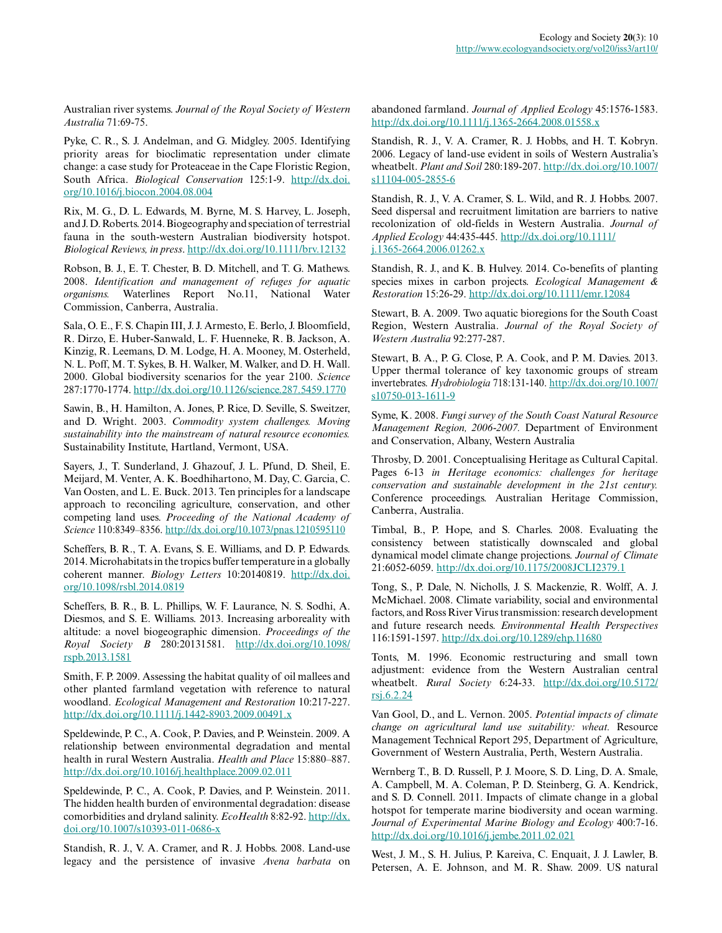Australian river systems. *Journal of the Royal Society of Western Australia* 71:69-75.

Pyke, C. R., S. J. Andelman, and G. Midgley. 2005. Identifying priority areas for bioclimatic representation under climate change: a case study for Proteaceae in the Cape Floristic Region, South Africa. *Biological Conservation* 125:1-9. [http://dx.doi.](http://dx.doi.org/10.1016%2Fj.biocon.2004.08.004) [org/10.1016/j.biocon.2004.08.004](http://dx.doi.org/10.1016%2Fj.biocon.2004.08.004)

Rix, M. G., D. L. Edwards, M. Byrne, M. S. Harvey, L. Joseph, and J. D. Roberts. 2014. Biogeography and speciation of terrestrial fauna in the south-western Australian biodiversity hotspot. *Biological Reviews, in press*. [http://dx.doi.org/10.1111/brv.12132](http://dx.doi.org/10.1111%2Fbrv.12132)

Robson, B. J., E. T. Chester, B. D. Mitchell, and T. G. Mathews. 2008. *Identification and management of refuges for aquatic organisms.* Waterlines Report No.11, National Water Commission, Canberra, Australia.

Sala, O. E., F. S. Chapin III, J. J. Armesto, E. Berlo, J. Bloomfield, R. Dirzo, E. Huber-Sanwald, L. F. Huenneke, R. B. Jackson, A. Kinzig, R. Leemans, D. M. Lodge, H. A. Mooney, M. Osterheld, N. L. Poff, M. T. Sykes, B. H. Walker, M. Walker, and D. H. Wall. 2000. Global biodiversity scenarios for the year 2100. *Science* 287:1770-1774. [http://dx.doi.org/10.1126/science.287.5459.1770](http://dx.doi.org/10.1126%2Fscience.287.5459.1770)

Sawin, B., H. Hamilton, A. Jones, P. Rice, D. Seville, S. Sweitzer, and D. Wright. 2003. *Commodity system challenges. Moving sustainability into the mainstream of natural resource economies.* Sustainability Institute, Hartland, Vermont, USA.

Sayers, J., T. Sunderland, J. Ghazouf, J. L. Pfund, D. Sheil, E. Meijard, M. Venter, A. K. Boedhihartono, M. Day, C. Garcia, C. Van Oosten, and L. E. Buck. 2013. Ten principles for a landscape approach to reconciling agriculture, conservation, and other competing land uses. *Proceeding of the National Academy of Science* 110:8349–8356. [http://dx.doi.org/10.1073/pnas.1210595110](http://dx.doi.org/10.1073%2Fpnas.1210595110) 

Scheffers, B. R., T. A. Evans, S. E. Williams, and D. P. Edwards. 2014. Microhabitats in the tropics buffer temperature in a globally coherent manner. *Biology Letters* 10:20140819. [http://dx.doi.](http://dx.doi.org/10.1098%2Frsbl.2014.0819) [org/10.1098/rsbl.2014.0819](http://dx.doi.org/10.1098%2Frsbl.2014.0819)

Scheffers, B. R., B. L. Phillips, W. F. Laurance, N. S. Sodhi, A. Diesmos, and S. E. Williams. 2013. Increasing arboreality with altitude: a novel biogeographic dimension. *Proceedings of the Royal Society B* 280:20131581. [http://dx.doi.org/10.1098/](http://dx.doi.org/10.1098%2Frspb.2013.1581) [rspb.2013.1581](http://dx.doi.org/10.1098%2Frspb.2013.1581)

Smith, F. P. 2009. Assessing the habitat quality of oil mallees and other planted farmland vegetation with reference to natural woodland. *Ecological Management and Restoration* 10:217-227. [http://dx.doi.org/10.1111/j.1442-8903.2009.00491.x](http://dx.doi.org/10.1111%2Fj.1442-8903.2009.00491.x) 

Speldewinde, P. C., A. Cook, P. Davies, and P. Weinstein. 2009. A relationship between environmental degradation and mental health in rural Western Australia. *Health and Place* 15:880–887. [http://dx.doi.org/10.1016/j.healthplace.2009.02.011](http://dx.doi.org/10.1016%2Fj.healthplace.2009.02.011)

Speldewinde, P. C., A. Cook, P. Davies, and P. Weinstein. 2011. The hidden health burden of environmental degradation: disease comorbidities and dryland salinity. *EcoHealth* 8:82-92. [http://dx.](http://dx.doi.org/10.1007%2Fs10393-011-0686-x) [doi.org/10.1007/s10393-011-0686-x](http://dx.doi.org/10.1007%2Fs10393-011-0686-x) 

Standish, R. J., V. A. Cramer, and R. J. Hobbs. 2008. Land-use legacy and the persistence of invasive *Avena barbata* on abandoned farmland. *Journal of Applied Ecology* 45:1576-1583. [http://dx.doi.org/10.1111/j.1365-2664.2008.01558.x](http://dx.doi.org/10.1111%2Fj.1365-2664.2008.01558.x) 

Standish, R. J., V. A. Cramer, R. J. Hobbs, and H. T. Kobryn. 2006. Legacy of land-use evident in soils of Western Australia's wheatbelt. *Plant and Soil* 280:189-207. [http://dx.doi.org/10.1007/](http://dx.doi.org/10.1007%2Fs11104-005-2855-6) [s11104-005-2855-6](http://dx.doi.org/10.1007%2Fs11104-005-2855-6) 

Standish, R. J., V. A. Cramer, S. L. Wild, and R. J. Hobbs. 2007. Seed dispersal and recruitment limitation are barriers to native recolonization of old-fields in Western Australia. *Journal of Applied Ecology* 44:435-445. [http://dx.doi.org/10.1111/](http://dx.doi.org/10.1111%2Fj.1365-2664.2006.01262.x) [j.1365-2664.2006.01262.x](http://dx.doi.org/10.1111%2Fj.1365-2664.2006.01262.x)

Standish, R. J., and K. B. Hulvey. 2014. Co-benefits of planting species mixes in carbon projects. *Ecological Management & Restoration* 15:26-29. [http://dx.doi.org/10.1111/emr.12084](http://dx.doi.org/10.1111%2Femr.12084)

Stewart, B. A. 2009. Two aquatic bioregions for the South Coast Region, Western Australia. *Journal of the Royal Society of Western Australia* 92:277-287.

Stewart, B. A., P. G. Close, P. A. Cook, and P. M. Davies. 2013. Upper thermal tolerance of key taxonomic groups of stream invertebrates. *Hydrobiologia* 718:131-140. [http://dx.doi.org/10.1007/](http://dx.doi.org/10.1007%2Fs10750-013-1611-9) [s10750-013-1611-9](http://dx.doi.org/10.1007%2Fs10750-013-1611-9) 

Syme, K. 2008. *Fungi survey of the South Coast Natural Resource Management Region, 2006-2007.* Department of Environment and Conservation, Albany, Western Australia

Throsby, D. 2001. Conceptualising Heritage as Cultural Capital. Pages 6-13 *in Heritage economics: challenges for heritage conservation and sustainable development in the 21st century.* Conference proceedings. Australian Heritage Commission, Canberra, Australia.

Timbal, B., P. Hope, and S. Charles. 2008. Evaluating the consistency between statistically downscaled and global dynamical model climate change projections. *Journal of Climate* 21:6052-6059. [http://dx.doi.org/10.1175/2008JCLI2379.1](http://dx.doi.org/10.1175%2F2008JCLI2379.1)

Tong, S., P. Dale, N. Nicholls, J. S. Mackenzie, R. Wolff, A. J. McMichael. 2008. Climate variability, social and environmental factors, and Ross River Virus transmission: research development and future research needs. *Environmental Health Perspectives* 116:1591-1597. [http://dx.doi.org/10.1289/ehp.11680](http://dx.doi.org/10.1289%2Fehp.11680)

Tonts, M. 1996. Economic restructuring and small town adjustment: evidence from the Western Australian central wheatbelt. *Rural Society* 6:24-33. [http://dx.doi.org/10.5172/](http://dx.doi.org/10.5172%2Frsj.6.2.24) [rsj.6.2.24](http://dx.doi.org/10.5172%2Frsj.6.2.24) 

Van Gool, D., and L. Vernon. 2005. *Potential impacts of climate change on agricultural land use suitability: wheat.* Resource Management Technical Report 295, Department of Agriculture, Government of Western Australia, Perth, Western Australia.

Wernberg T., B. D. Russell, P. J. Moore, S. D. Ling, D. A. Smale, A. Campbell, M. A. Coleman, P. D. Steinberg, G. A. Kendrick, and S. D. Connell. 2011. Impacts of climate change in a global hotspot for temperate marine biodiversity and ocean warming. *Journal of Experimental Marine Biology and Ecology* 400:7-16. [http://dx.doi.org/10.1016/j.jembe.2011.02.021](http://dx.doi.org/10.1016%2Fj.jembe.2011.02.021)

West, J. M., S. H. Julius, P. Kareiva, C. Enquait, J. J. Lawler, B. Petersen, A. E. Johnson, and M. R. Shaw. 2009. US natural